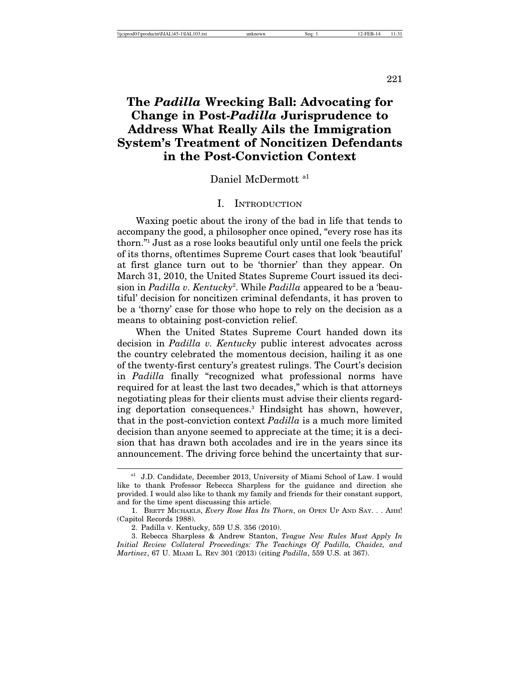221

# **The** *Padilla* **Wrecking Ball: Advocating for Change in Post-***Padilla* **Jurisprudence to Address What Really Ails the Immigration System's Treatment of Noncitizen Defendants in the Post-Conviction Context**

# Daniel McDermott a1

#### I. INTRODUCTION

Waxing poetic about the irony of the bad in life that tends to accompany the good, a philosopher once opined, "every rose has its thorn."1 Just as a rose looks beautiful only until one feels the prick of its thorns, oftentimes Supreme Court cases that look 'beautiful' at first glance turn out to be 'thornier' than they appear. On March 31, 2010, the United States Supreme Court issued its decision in *Padilla v. Kentucky*<sup>2</sup> . While *Padilla* appeared to be a 'beautiful' decision for noncitizen criminal defendants, it has proven to be a 'thorny' case for those who hope to rely on the decision as a means to obtaining post-conviction relief.

When the United States Supreme Court handed down its decision in *Padilla v. Kentucky* public interest advocates across the country celebrated the momentous decision, hailing it as one of the twenty-first century's greatest rulings. The Court's decision in *Padilla* finally "recognized what professional norms have required for at least the last two decades," which is that attorneys negotiating pleas for their clients must advise their clients regarding deportation consequences.3 Hindsight has shown, however, that in the post-conviction context *Padilla* is a much more limited decision than anyone seemed to appreciate at the time; it is a decision that has drawn both accolades and ire in the years since its announcement. The driving force behind the uncertainty that sur-

a<sup>1</sup> J.D. Candidate, December 2013, University of Miami School of Law. I would like to thank Professor Rebecca Sharpless for the guidance and direction she provided. I would also like to thank my family and friends for their constant support, and for the time spent discussing this article.

<sup>1.</sup> BRETT MICHAELS, *Every Rose Has Its Thorn*, *on* OPEN UP AND SAY. . . AHH! (Capitol Records 1988).

<sup>2.</sup> Padilla v. Kentucky, 559 U.S. 356 (2010).

<sup>3.</sup> Rebecca Sharpless & Andrew Stanton, *Teague New Rules Must Apply In Initial Review Collateral Proceedings: The Teachings Of Padilla, Chaidez, and Martinez*, 67 U. MIAMI L. REV 301 (2013) (citing *Padilla*, 559 U.S. at 367).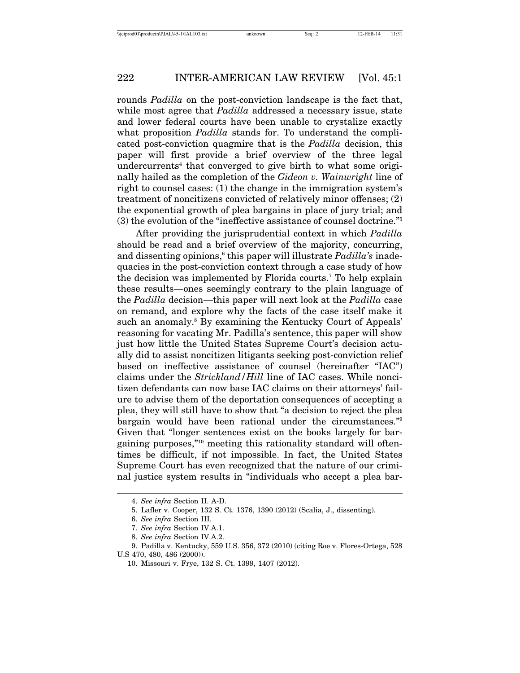rounds *Padilla* on the post-conviction landscape is the fact that, while most agree that *Padilla* addressed a necessary issue, state and lower federal courts have been unable to crystalize exactly what proposition *Padilla* stands for. To understand the complicated post-conviction quagmire that is the *Padilla* decision, this paper will first provide a brief overview of the three legal undercurrents<sup>4</sup> that converged to give birth to what some originally hailed as the completion of the *Gideon v. Wainwright* line of right to counsel cases: (1) the change in the immigration system's treatment of noncitizens convicted of relatively minor offenses; (2) the exponential growth of plea bargains in place of jury trial; and (3) the evolution of the "ineffective assistance of counsel doctrine."5

After providing the jurisprudential context in which *Padilla* should be read and a brief overview of the majority, concurring, and dissenting opinions,<sup>6</sup> this paper will illustrate *Padilla's* inadequacies in the post-conviction context through a case study of how the decision was implemented by Florida courts.<sup>7</sup> To help explain these results—ones seemingly contrary to the plain language of the *Padilla* decision—this paper will next look at the *Padilla* case on remand, and explore why the facts of the case itself make it such an anomaly.<sup>8</sup> By examining the Kentucky Court of Appeals' reasoning for vacating Mr. Padilla's sentence, this paper will show just how little the United States Supreme Court's decision actually did to assist noncitizen litigants seeking post-conviction relief based on ineffective assistance of counsel (hereinafter "IAC") claims under the *Strickland/Hill* line of IAC cases. While noncitizen defendants can now base IAC claims on their attorneys' failure to advise them of the deportation consequences of accepting a plea, they will still have to show that "a decision to reject the plea bargain would have been rational under the circumstances."9 Given that "longer sentences exist on the books largely for bargaining purposes,"10 meeting this rationality standard will oftentimes be difficult, if not impossible. In fact, the United States Supreme Court has even recognized that the nature of our criminal justice system results in "individuals who accept a plea bar-

<sup>4.</sup> *See infra* Section II. A-D.

<sup>5.</sup> Lafler v. Cooper, 132 S. Ct. 1376, 1390 (2012) (Scalia, J., dissenting).

<sup>6.</sup> *See infra* Section III.

<sup>7.</sup> *See infra* Section IV.A.1.

<sup>8.</sup> *See infra* Section IV.A.2.

<sup>9.</sup> Padilla v. Kentucky, 559 U.S. 356, 372 (2010) (citing Roe v. Flores-Ortega, 528 U.S 470, 480, 486 (2000)).

<sup>10.</sup> Missouri v. Frye, 132 S. Ct. 1399, 1407 (2012).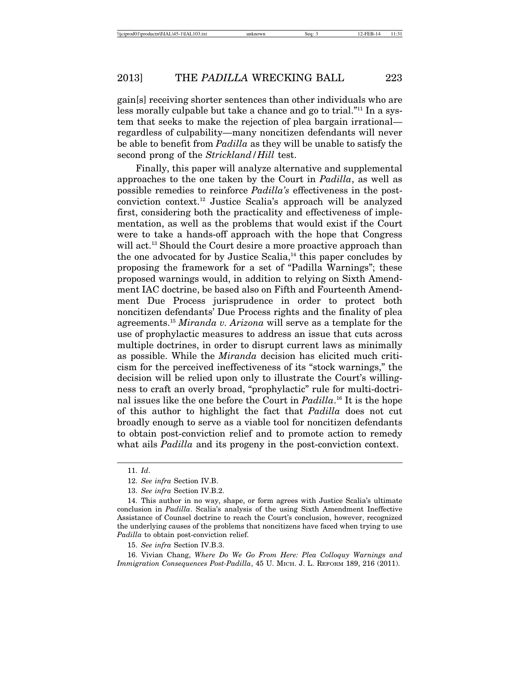gain[s] receiving shorter sentences than other individuals who are less morally culpable but take a chance and go to trial."11 In a system that seeks to make the rejection of plea bargain irrational regardless of culpability—many noncitizen defendants will never be able to benefit from *Padilla* as they will be unable to satisfy the second prong of the *Strickland/Hill* test.

Finally, this paper will analyze alternative and supplemental approaches to the one taken by the Court in *Padilla*, as well as possible remedies to reinforce *Padilla's* effectiveness in the postconviction context.12 Justice Scalia's approach will be analyzed first, considering both the practicality and effectiveness of implementation, as well as the problems that would exist if the Court were to take a hands-off approach with the hope that Congress will act.<sup>13</sup> Should the Court desire a more proactive approach than the one advocated for by Justice Scalia, $14$  this paper concludes by proposing the framework for a set of "Padilla Warnings"; these proposed warnings would, in addition to relying on Sixth Amendment IAC doctrine, be based also on Fifth and Fourteenth Amendment Due Process jurisprudence in order to protect both noncitizen defendants' Due Process rights and the finality of plea agreements.15 *Miranda v. Arizona* will serve as a template for the use of prophylactic measures to address an issue that cuts across multiple doctrines, in order to disrupt current laws as minimally as possible. While the *Miranda* decision has elicited much criticism for the perceived ineffectiveness of its "stock warnings," the decision will be relied upon only to illustrate the Court's willingness to craft an overly broad, "prophylactic" rule for multi-doctrinal issues like the one before the Court in *Padilla*. 16 It is the hope of this author to highlight the fact that *Padilla* does not cut broadly enough to serve as a viable tool for noncitizen defendants to obtain post-conviction relief and to promote action to remedy what ails *Padilla* and its progeny in the post-conviction context.

<sup>11.</sup> *Id*.

<sup>12.</sup> *See infra* Section IV.B.

<sup>13.</sup> *See infra* Section IV.B.2.

<sup>14.</sup> This author in no way, shape, or form agrees with Justice Scalia's ultimate conclusion in *Padilla*. Scalia's analysis of the using Sixth Amendment Ineffective Assistance of Counsel doctrine to reach the Court's conclusion, however, recognized the underlying causes of the problems that noncitizens have faced when trying to use *Padilla* to obtain post-conviction relief.

<sup>15.</sup> *See infra* Section IV.B.3.

<sup>16.</sup> Vivian Chang, *Where Do We Go From Here: Plea Colloquy Warnings and Immigration Consequences Post-Padilla*, 45 U. MICH. J. L. REFORM 189, 216 (2011).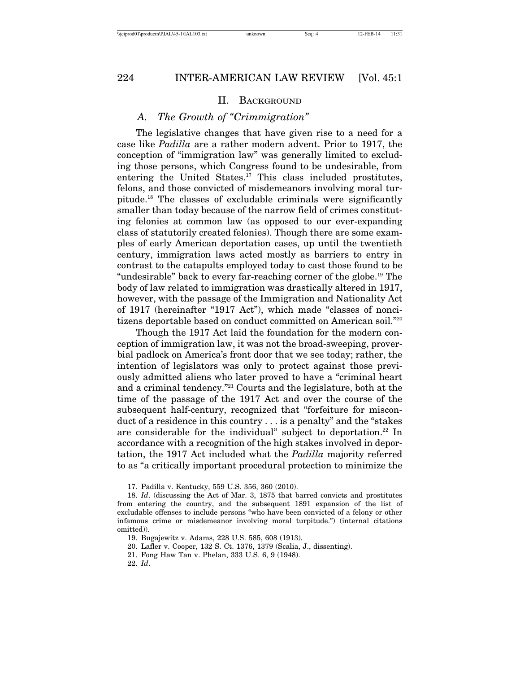#### II. BACKGROUND

## *A. The Growth of "Crimmigration"*

The legislative changes that have given rise to a need for a case like *Padilla* are a rather modern advent. Prior to 1917, the conception of "immigration law" was generally limited to excluding those persons, which Congress found to be undesirable, from entering the United States.<sup>17</sup> This class included prostitutes, felons, and those convicted of misdemeanors involving moral turpitude.18 The classes of excludable criminals were significantly smaller than today because of the narrow field of crimes constituting felonies at common law (as opposed to our ever-expanding class of statutorily created felonies). Though there are some examples of early American deportation cases, up until the twentieth century, immigration laws acted mostly as barriers to entry in contrast to the catapults employed today to cast those found to be "undesirable" back to every far-reaching corner of the globe.19 The body of law related to immigration was drastically altered in 1917, however, with the passage of the Immigration and Nationality Act of 1917 (hereinafter "1917 Act"), which made "classes of noncitizens deportable based on conduct committed on American soil."20

Though the 1917 Act laid the foundation for the modern conception of immigration law, it was not the broad-sweeping, proverbial padlock on America's front door that we see today; rather, the intention of legislators was only to protect against those previously admitted aliens who later proved to have a "criminal heart and a criminal tendency."<sup>21</sup> Courts and the legislature, both at the time of the passage of the 1917 Act and over the course of the subsequent half-century, recognized that "forfeiture for misconduct of a residence in this country . . . is a penalty" and the "stakes are considerable for the individual" subject to deportation.<sup>22</sup> In accordance with a recognition of the high stakes involved in deportation, the 1917 Act included what the *Padilla* majority referred to as "a critically important procedural protection to minimize the

22. *Id*.

<sup>17.</sup> Padilla v. Kentucky, 559 U.S. 356, 360 (2010).

<sup>18.</sup> *Id*. (discussing the Act of Mar. 3, 1875 that barred convicts and prostitutes from entering the country, and the subsequent 1891 expansion of the list of excludable offenses to include persons "who have been convicted of a felony or other infamous crime or misdemeanor involving moral turpitude.") (internal citations omitted)).

<sup>19.</sup> Bugajewitz v. Adams, 228 U.S. 585, 608 (1913).

<sup>20.</sup> Lafler v. Cooper, 132 S. Ct. 1376, 1379 (Scalia, J., dissenting).

<sup>21.</sup> Fong Haw Tan v. Phelan, 333 U.S. 6, 9 (1948).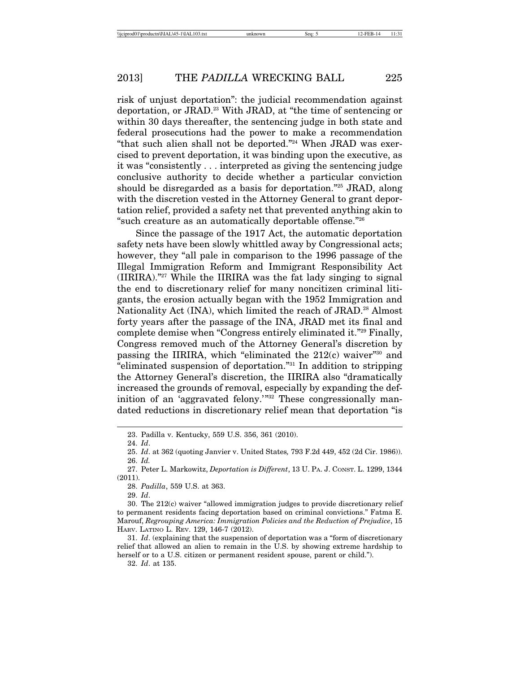risk of unjust deportation": the judicial recommendation against deportation, or JRAD.23 With JRAD, at "the time of sentencing or within 30 days thereafter, the sentencing judge in both state and federal prosecutions had the power to make a recommendation "that such alien shall not be deported."24 When JRAD was exercised to prevent deportation, it was binding upon the executive, as it was "consistently . . . interpreted as giving the sentencing judge conclusive authority to decide whether a particular conviction should be disregarded as a basis for deportation."25 JRAD, along with the discretion vested in the Attorney General to grant deportation relief, provided a safety net that prevented anything akin to "such creature as an automatically deportable offense."26

Since the passage of the 1917 Act, the automatic deportation safety nets have been slowly whittled away by Congressional acts; however, they "all pale in comparison to the 1996 passage of the Illegal Immigration Reform and Immigrant Responsibility Act (IIRIRA)."27 While the IIRIRA was the fat lady singing to signal the end to discretionary relief for many noncitizen criminal litigants, the erosion actually began with the 1952 Immigration and Nationality Act (INA), which limited the reach of JRAD.<sup>28</sup> Almost forty years after the passage of the INA, JRAD met its final and complete demise when "Congress entirely eliminated it."29 Finally, Congress removed much of the Attorney General's discretion by passing the IIRIRA, which "eliminated the 212(c) waiver"30 and "eliminated suspension of deportation."31 In addition to stripping the Attorney General's discretion, the IIRIRA also "dramatically increased the grounds of removal, especially by expanding the definition of an 'aggravated felony.'"32 These congressionally mandated reductions in discretionary relief mean that deportation "is

29. *Id*.

32. *Id*. at 135.

<sup>23.</sup> Padilla v. Kentucky, 559 U.S. 356, 361 (2010).

<sup>24.</sup> *Id*.

<sup>25.</sup> *Id*. at 362 (quoting Janvier v. United States*,* 793 F.2d 449, 452 (2d Cir. 1986)). 26. *Id.*

<sup>27.</sup> Peter L. Markowitz, *Deportation is Different*, 13 U. PA. J. CONST. L. 1299, 1344 (2011).

<sup>28.</sup> *Padilla*, 559 U.S. at 363.

<sup>30.</sup> The 212(c) waiver "allowed immigration judges to provide discretionary relief to permanent residents facing deportation based on criminal convictions." Fatma E. Marouf, *Regrouping America: Immigration Policies and the Reduction of Prejudice*, 15 HARV. LATINO L. REV. 129, 146-7 (2012).

<sup>31.</sup> *Id*. (explaining that the suspension of deportation was a "form of discretionary relief that allowed an alien to remain in the U.S. by showing extreme hardship to herself or to a U.S. citizen or permanent resident spouse, parent or child.").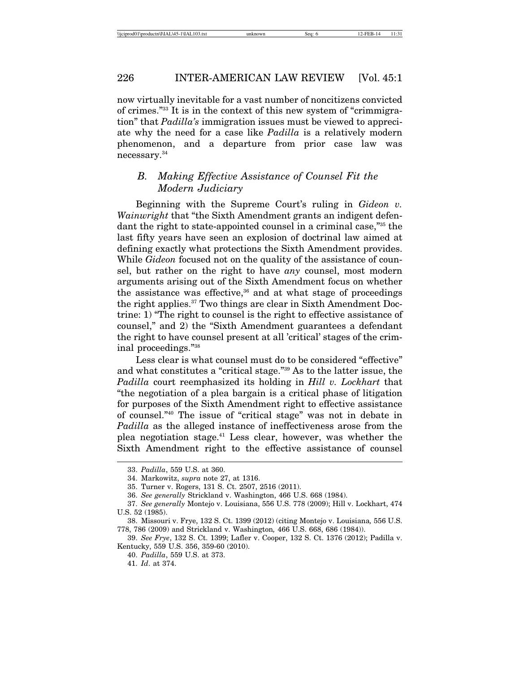now virtually inevitable for a vast number of noncitizens convicted of crimes."33 It is in the context of this new system of "crimmigration" that *Padilla's* immigration issues must be viewed to appreciate why the need for a case like *Padilla* is a relatively modern phenomenon, and a departure from prior case law was necessary.34

# *B. Making Effective Assistance of Counsel Fit the Modern Judiciary*

Beginning with the Supreme Court's ruling in *Gideon v. Wainwright* that "the Sixth Amendment grants an indigent defendant the right to state-appointed counsel in a criminal case,"35 the last fifty years have seen an explosion of doctrinal law aimed at defining exactly what protections the Sixth Amendment provides. While *Gideon* focused not on the quality of the assistance of counsel, but rather on the right to have *any* counsel, most modern arguments arising out of the Sixth Amendment focus on whether the assistance was effective, $36$  and at what stage of proceedings the right applies.37 Two things are clear in Sixth Amendment Doctrine: 1) "The right to counsel is the right to effective assistance of counsel," and 2) the "Sixth Amendment guarantees a defendant the right to have counsel present at all 'critical' stages of the criminal proceedings."38

Less clear is what counsel must do to be considered "effective" and what constitutes a "critical stage."39 As to the latter issue, the *Padilla* court reemphasized its holding in *Hill v. Lockhart* that "the negotiation of a plea bargain is a critical phase of litigation for purposes of the Sixth Amendment right to effective assistance of counsel."40 The issue of "critical stage" was not in debate in *Padilla* as the alleged instance of ineffectiveness arose from the plea negotiation stage.41 Less clear, however, was whether the Sixth Amendment right to the effective assistance of counsel

<sup>33.</sup> *Padilla*, 559 U.S. at 360.

<sup>34.</sup> Markowitz, *supra* note 27, at 1316.

<sup>35.</sup> Turner v. Rogers, 131 S. Ct. 2507, 2516 (2011).

<sup>36.</sup> *See generally* Strickland v. Washington, 466 U.S. 668 (1984).

<sup>37.</sup> *See generally* Montejo v. Louisiana, 556 U.S. 778 (2009); Hill v. Lockhart, 474 U.S. 52 (1985).

<sup>38.</sup> Missouri v. Frye, 132 S. Ct. 1399 (2012) (citing Montejo v. Louisiana*,* 556 U.S. 778, 786 (2009) and Strickland v. Washington*,* 466 U.S. 668, 686 (1984)).

<sup>39.</sup> *See Frye*, 132 S. Ct. 1399; Lafler v. Cooper, 132 S. Ct. 1376 (2012); Padilla v. Kentucky, 559 U.S. 356, 359-60 (2010).

<sup>40.</sup> *Padilla*, 559 U.S. at 373.

<sup>41.</sup> *Id*. at 374.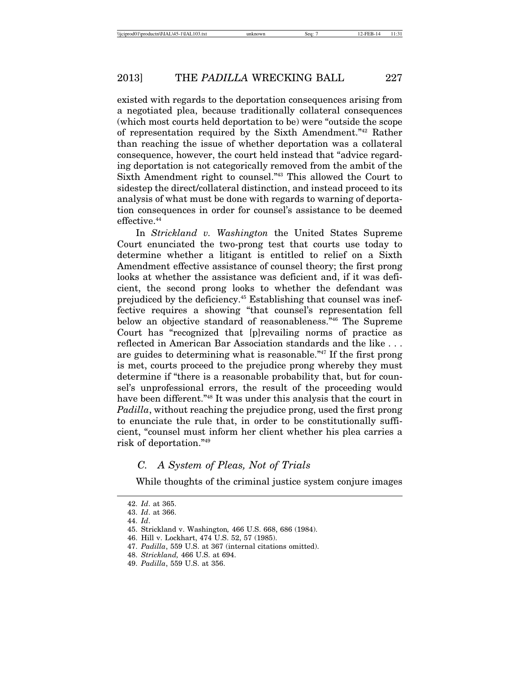existed with regards to the deportation consequences arising from a negotiated plea, because traditionally collateral consequences (which most courts held deportation to be) were "outside the scope of representation required by the Sixth Amendment."42 Rather than reaching the issue of whether deportation was a collateral consequence, however, the court held instead that "advice regarding deportation is not categorically removed from the ambit of the Sixth Amendment right to counsel."43 This allowed the Court to sidestep the direct/collateral distinction, and instead proceed to its analysis of what must be done with regards to warning of deportation consequences in order for counsel's assistance to be deemed effective.<sup>44</sup>

In *Strickland v. Washington* the United States Supreme Court enunciated the two-prong test that courts use today to determine whether a litigant is entitled to relief on a Sixth Amendment effective assistance of counsel theory; the first prong looks at whether the assistance was deficient and, if it was deficient, the second prong looks to whether the defendant was prejudiced by the deficiency.45 Establishing that counsel was ineffective requires a showing "that counsel's representation fell below an objective standard of reasonableness."46 The Supreme Court has "recognized that [p]revailing norms of practice as reflected in American Bar Association standards and the like . . . are guides to determining what is reasonable."47 If the first prong is met, courts proceed to the prejudice prong whereby they must determine if "there is a reasonable probability that, but for counsel's unprofessional errors, the result of the proceeding would have been different."<sup>48</sup> It was under this analysis that the court in *Padilla*, without reaching the prejudice prong, used the first prong to enunciate the rule that, in order to be constitutionally sufficient, "counsel must inform her client whether his plea carries a risk of deportation."49

# *C. A System of Pleas, Not of Trials*

While thoughts of the criminal justice system conjure images

<sup>42.</sup> *Id*. at 365.

<sup>43.</sup> *Id*. at 366.

<sup>44.</sup> *Id*.

<sup>45.</sup> Strickland v. Washington*,* 466 U.S. 668, 686 (1984).

<sup>46.</sup> Hill v. Lockhart, 474 U.S. 52, 57 (1985).

<sup>47.</sup> *Padilla*, 559 U.S. at 367 (internal citations omitted).

<sup>48.</sup> *Strickland,* 466 U.S. at 694.

<sup>49.</sup> *Padilla*, 559 U.S. at 356.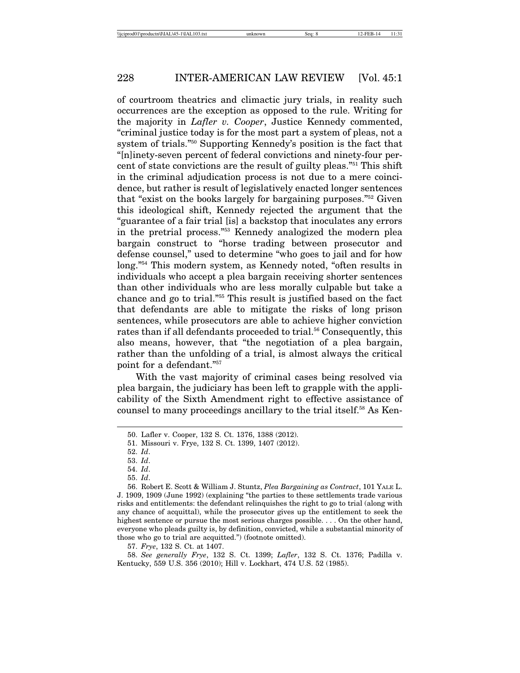of courtroom theatrics and climactic jury trials, in reality such occurrences are the exception as opposed to the rule. Writing for the majority in *Lafler v. Cooper*, Justice Kennedy commented, "criminal justice today is for the most part a system of pleas, not a system of trials."50 Supporting Kennedy's position is the fact that "[n]inety-seven percent of federal convictions and ninety-four percent of state convictions are the result of guilty pleas."51 This shift in the criminal adjudication process is not due to a mere coincidence, but rather is result of legislatively enacted longer sentences that "exist on the books largely for bargaining purposes."52 Given this ideological shift, Kennedy rejected the argument that the "guarantee of a fair trial [is] a backstop that inoculates any errors in the pretrial process."53 Kennedy analogized the modern plea bargain construct to "horse trading between prosecutor and defense counsel," used to determine "who goes to jail and for how long."54 This modern system, as Kennedy noted, "often results in individuals who accept a plea bargain receiving shorter sentences than other individuals who are less morally culpable but take a chance and go to trial."55 This result is justified based on the fact that defendants are able to mitigate the risks of long prison sentences, while prosecutors are able to achieve higher conviction rates than if all defendants proceeded to trial.<sup>56</sup> Consequently, this also means, however, that "the negotiation of a plea bargain, rather than the unfolding of a trial, is almost always the critical point for a defendant."57

With the vast majority of criminal cases being resolved via plea bargain, the judiciary has been left to grapple with the applicability of the Sixth Amendment right to effective assistance of counsel to many proceedings ancillary to the trial itself.58 As Ken-

52. *Id*.

53. *Id*.

54. *Id*.

57. *Frye*, 132 S. Ct. at 1407.

58. *See generally Frye*, 132 S. Ct. 1399; *Lafler*, 132 S. Ct. 1376; Padilla v. Kentucky, 559 U.S. 356 (2010); Hill v. Lockhart, 474 U.S. 52 (1985).

<sup>50.</sup> Lafler v. Cooper, 132 S. Ct. 1376, 1388 (2012).

<sup>51.</sup> Missouri v. Frye, 132 S. Ct. 1399, 1407 (2012).

<sup>55.</sup> *Id*.

<sup>56.</sup> Robert E. Scott & William J. Stuntz, *Plea Bargaining as Contract*, 101 YALE L. J. 1909, 1909 (June 1992) (explaining "the parties to these settlements trade various risks and entitlements: the defendant relinquishes the right to go to trial (along with any chance of acquittal), while the prosecutor gives up the entitlement to seek the highest sentence or pursue the most serious charges possible. . . . On the other hand, everyone who pleads guilty is, by definition, convicted, while a substantial minority of those who go to trial are acquitted.") (footnote omitted).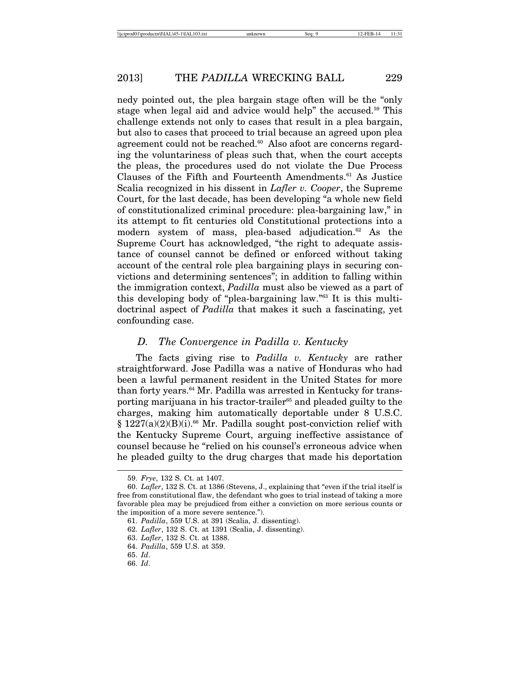nedy pointed out, the plea bargain stage often will be the "only stage when legal aid and advice would help" the accused.<sup>59</sup> This challenge extends not only to cases that result in a plea bargain, but also to cases that proceed to trial because an agreed upon plea agreement could not be reached.<sup>60</sup> Also afoot are concerns regarding the voluntariness of pleas such that, when the court accepts the pleas, the procedures used do not violate the Due Process Clauses of the Fifth and Fourteenth Amendments.<sup>61</sup> As Justice Scalia recognized in his dissent in *Lafler v. Cooper*, the Supreme Court, for the last decade, has been developing "a whole new field of constitutionalized criminal procedure: plea-bargaining law," in its attempt to fit centuries old Constitutional protections into a modern system of mass, plea-based adjudication. $62$  As the Supreme Court has acknowledged, "the right to adequate assistance of counsel cannot be defined or enforced without taking account of the central role plea bargaining plays in securing convictions and determining sentences"; in addition to falling within the immigration context, *Padilla* must also be viewed as a part of this developing body of "plea-bargaining law."63 It is this multidoctrinal aspect of *Padilla* that makes it such a fascinating, yet confounding case.

# *D. The Convergence in Padilla v. Kentucky*

The facts giving rise to *Padilla v. Kentucky* are rather straightforward. Jose Padilla was a native of Honduras who had been a lawful permanent resident in the United States for more than forty years.64 Mr. Padilla was arrested in Kentucky for transporting marijuana in his tractor-trailer<sup>65</sup> and pleaded guilty to the charges, making him automatically deportable under 8 U.S.C.  $§ 1227(a)(2)(B)(i).$ <sup>66</sup> Mr. Padilla sought post-conviction relief with the Kentucky Supreme Court, arguing ineffective assistance of counsel because he "relied on his counsel's erroneous advice when he pleaded guilty to the drug charges that made his deportation

<sup>59.</sup> *Frye*, 132 S. Ct. at 1407.

<sup>60.</sup> *Lafler*, 132 S. Ct. at 1386 (Stevens, J., explaining that "even if the trial itself is free from constitutional flaw, the defendant who goes to trial instead of taking a more favorable plea may be prejudiced from either a conviction on more serious counts or the imposition of a more severe sentence.").

<sup>61.</sup> *Padilla*, 559 U.S. at 391 (Scalia, J. dissenting).

<sup>62.</sup> *Lafler*, 132 S. Ct. at 1391 (Scalia, J. dissenting).

<sup>63.</sup> *Lafler*, 132 S. Ct. at 1388.

<sup>64.</sup> *Padilla*, 559 U.S. at 359.

<sup>65.</sup> *Id*.

<sup>66.</sup> *Id*.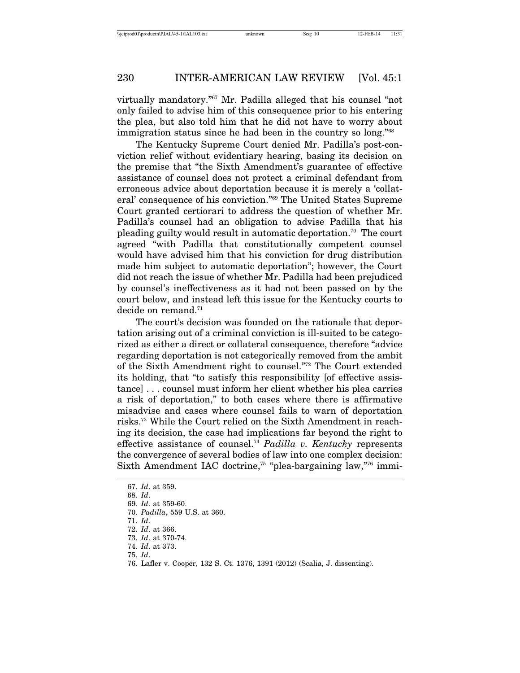virtually mandatory."67 Mr. Padilla alleged that his counsel "not only failed to advise him of this consequence prior to his entering the plea, but also told him that he did not have to worry about immigration status since he had been in the country so long."68

The Kentucky Supreme Court denied Mr. Padilla's post-conviction relief without evidentiary hearing, basing its decision on the premise that "the Sixth Amendment's guarantee of effective assistance of counsel does not protect a criminal defendant from erroneous advice about deportation because it is merely a 'collateral' consequence of his conviction."69 The United States Supreme Court granted certiorari to address the question of whether Mr. Padilla's counsel had an obligation to advise Padilla that his pleading guilty would result in automatic deportation.70 The court agreed "with Padilla that constitutionally competent counsel would have advised him that his conviction for drug distribution made him subject to automatic deportation"; however, the Court did not reach the issue of whether Mr. Padilla had been prejudiced by counsel's ineffectiveness as it had not been passed on by the court below, and instead left this issue for the Kentucky courts to decide on remand. $71$ 

The court's decision was founded on the rationale that deportation arising out of a criminal conviction is ill-suited to be categorized as either a direct or collateral consequence, therefore "advice regarding deportation is not categorically removed from the ambit of the Sixth Amendment right to counsel."72 The Court extended its holding, that "to satisfy this responsibility [of effective assistance] . . . counsel must inform her client whether his plea carries a risk of deportation," to both cases where there is affirmative misadvise and cases where counsel fails to warn of deportation risks.73 While the Court relied on the Sixth Amendment in reaching its decision, the case had implications far beyond the right to effective assistance of counsel.74 *Padilla v. Kentucky* represents the convergence of several bodies of law into one complex decision: Sixth Amendment IAC doctrine,<sup>75</sup> "plea-bargaining law,"<sup>76</sup> immi-

76. Lafler v. Cooper, 132 S. Ct. 1376, 1391 (2012) (Scalia, J. dissenting).

<sup>67.</sup> *Id*. at 359.

<sup>68.</sup> *Id*.

<sup>69.</sup> *Id*. at 359-60.

<sup>70.</sup> *Padilla*, 559 U.S. at 360.

<sup>71.</sup> *Id*.

<sup>72.</sup> *Id*. at 366.

<sup>73.</sup> *Id*. at 370-74. 74. *Id*. at 373.

<sup>75.</sup> *Id*.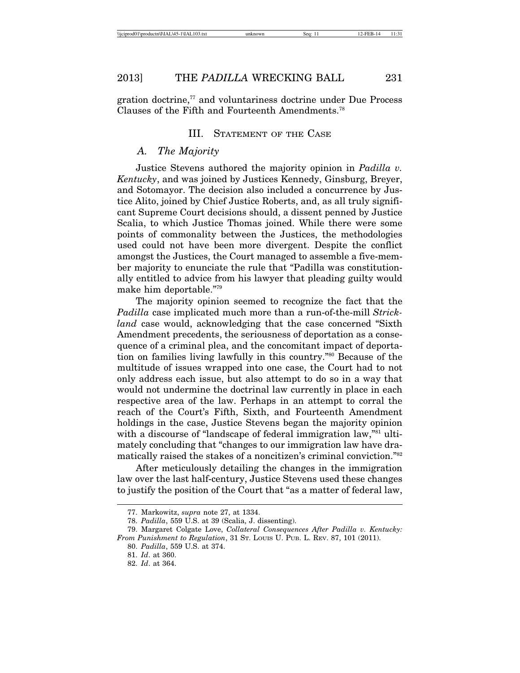gration doctrine,77 and voluntariness doctrine under Due Process Clauses of the Fifth and Fourteenth Amendments.78

#### III. STATEMENT OF THE CASE

# *A. The Majority*

Justice Stevens authored the majority opinion in *Padilla v. Kentucky*, and was joined by Justices Kennedy, Ginsburg, Breyer, and Sotomayor. The decision also included a concurrence by Justice Alito, joined by Chief Justice Roberts, and, as all truly significant Supreme Court decisions should, a dissent penned by Justice Scalia, to which Justice Thomas joined. While there were some points of commonality between the Justices, the methodologies used could not have been more divergent. Despite the conflict amongst the Justices, the Court managed to assemble a five-member majority to enunciate the rule that "Padilla was constitutionally entitled to advice from his lawyer that pleading guilty would make him deportable."79

The majority opinion seemed to recognize the fact that the *Padilla* case implicated much more than a run-of-the-mill *Strickland* case would, acknowledging that the case concerned "Sixth Amendment precedents, the seriousness of deportation as a consequence of a criminal plea, and the concomitant impact of deportation on families living lawfully in this country."80 Because of the multitude of issues wrapped into one case, the Court had to not only address each issue, but also attempt to do so in a way that would not undermine the doctrinal law currently in place in each respective area of the law. Perhaps in an attempt to corral the reach of the Court's Fifth, Sixth, and Fourteenth Amendment holdings in the case, Justice Stevens began the majority opinion with a discourse of "landscape of federal immigration law,"<sup>81</sup> ultimately concluding that "changes to our immigration law have dramatically raised the stakes of a noncitizen's criminal conviction."82

After meticulously detailing the changes in the immigration law over the last half-century, Justice Stevens used these changes to justify the position of the Court that "as a matter of federal law,

<sup>77.</sup> Markowitz, *supra* note 27, at 1334.

<sup>78.</sup> *Padilla*, 559 U.S. at 39 (Scalia, J. dissenting).

<sup>79.</sup> Margaret Colgate Love, *Collateral Consequences After Padilla v. Kentucky: From Punishment to Regulation*, 31 ST. LOUIS U. PUB. L. REV. 87, 101 (2011).

<sup>80.</sup> *Padilla*, 559 U.S. at 374.

<sup>81.</sup> *Id*. at 360.

<sup>82.</sup> *Id*. at 364.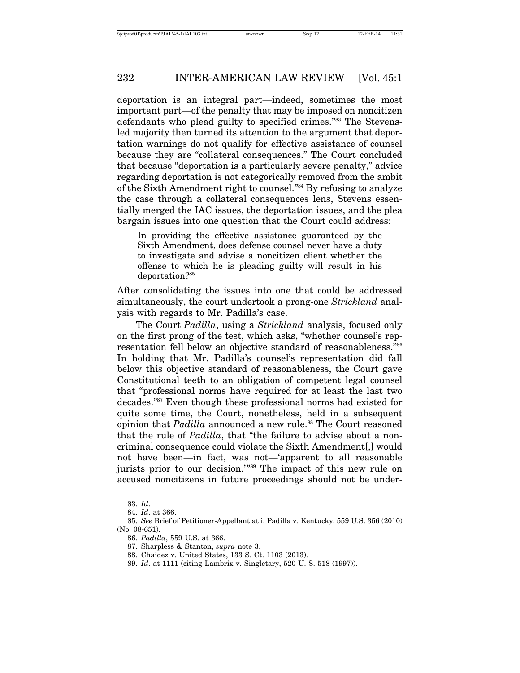deportation is an integral part—indeed, sometimes the most important part—of the penalty that may be imposed on noncitizen defendants who plead guilty to specified crimes."83 The Stevensled majority then turned its attention to the argument that deportation warnings do not qualify for effective assistance of counsel because they are "collateral consequences." The Court concluded that because "deportation is a particularly severe penalty," advice regarding deportation is not categorically removed from the ambit of the Sixth Amendment right to counsel."84 By refusing to analyze the case through a collateral consequences lens, Stevens essentially merged the IAC issues, the deportation issues, and the plea bargain issues into one question that the Court could address:

In providing the effective assistance guaranteed by the Sixth Amendment, does defense counsel never have a duty to investigate and advise a noncitizen client whether the offense to which he is pleading guilty will result in his deportation?85

After consolidating the issues into one that could be addressed simultaneously, the court undertook a prong-one *Strickland* analysis with regards to Mr. Padilla's case.

The Court *Padilla*, using a *Strickland* analysis, focused only on the first prong of the test, which asks, "whether counsel's representation fell below an objective standard of reasonableness."86 In holding that Mr. Padilla's counsel's representation did fall below this objective standard of reasonableness, the Court gave Constitutional teeth to an obligation of competent legal counsel that "professional norms have required for at least the last two decades."87 Even though these professional norms had existed for quite some time, the Court, nonetheless, held in a subsequent opinion that *Padilla* announced a new rule.<sup>88</sup> The Court reasoned that the rule of *Padilla*, that "the failure to advise about a noncriminal consequence could violate the Sixth Amendment[,] would not have been—in fact, was not—'apparent to all reasonable jurists prior to our decision.'"89 The impact of this new rule on accused noncitizens in future proceedings should not be under-

<sup>83.</sup> *Id*.

<sup>84.</sup> *Id*. at 366.

<sup>85.</sup> *See* Brief of Petitioner-Appellant at i, Padilla v. Kentucky, 559 U.S. 356 (2010) (No. 08-651).

<sup>86.</sup> *Padilla*, 559 U.S. at 366.

<sup>87.</sup> Sharpless & Stanton, *supra* note 3.

<sup>88.</sup> Chaidez v. United States, 133 S. Ct. 1103 (2013).

<sup>89.</sup> *Id*. at 1111 (citing Lambrix v. Singletary, 520 U. S. 518 (1997)).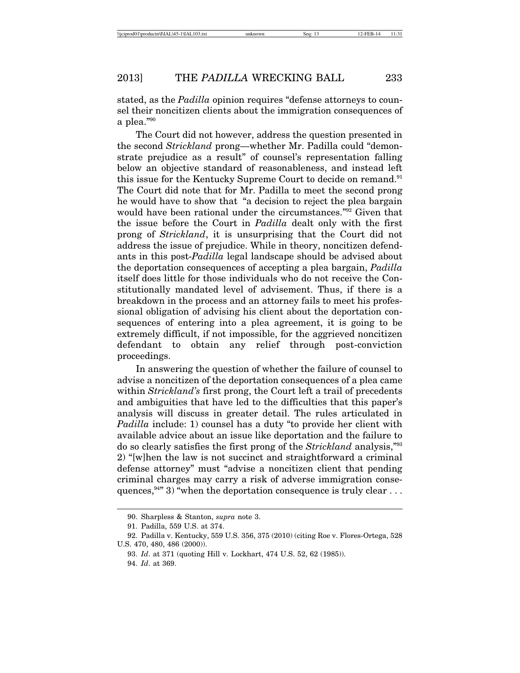stated, as the *Padilla* opinion requires "defense attorneys to counsel their noncitizen clients about the immigration consequences of a plea."90

The Court did not however, address the question presented in the second *Strickland* prong—whether Mr. Padilla could "demonstrate prejudice as a result" of counsel's representation falling below an objective standard of reasonableness, and instead left this issue for the Kentucky Supreme Court to decide on remand.<sup>91</sup> The Court did note that for Mr. Padilla to meet the second prong he would have to show that "a decision to reject the plea bargain would have been rational under the circumstances."<sup>92</sup> Given that the issue before the Court in *Padilla* dealt only with the first prong of *Strickland*, it is unsurprising that the Court did not address the issue of prejudice. While in theory, noncitizen defendants in this post-*Padilla* legal landscape should be advised about the deportation consequences of accepting a plea bargain, *Padilla* itself does little for those individuals who do not receive the Constitutionally mandated level of advisement. Thus, if there is a breakdown in the process and an attorney fails to meet his professional obligation of advising his client about the deportation consequences of entering into a plea agreement, it is going to be extremely difficult, if not impossible, for the aggrieved noncitizen defendant to obtain any relief through post-conviction proceedings.

In answering the question of whether the failure of counsel to advise a noncitizen of the deportation consequences of a plea came within *Strickland's* first prong, the Court left a trail of precedents and ambiguities that have led to the difficulties that this paper's analysis will discuss in greater detail. The rules articulated in *Padilla* include: 1) counsel has a duty "to provide her client with available advice about an issue like deportation and the failure to do so clearly satisfies the first prong of the *Strickland* analysis,"93 2) "[w]hen the law is not succinct and straightforward a criminal defense attorney" must "advise a noncitizen client that pending criminal charges may carry a risk of adverse immigration consequences,  $94"$  3) "when the deportation consequence is truly clear ...

<sup>90.</sup> Sharpless & Stanton, *supra* note 3.

<sup>91.</sup> Padilla, 559 U.S. at 374.

<sup>92.</sup> Padilla v. Kentucky, 559 U.S. 356, 375 (2010) (citing Roe v. Flores-Ortega, 528 U.S. 470, 480, 486 (2000)).

<sup>93.</sup> *Id*. at 371 (quoting Hill v. Lockhart, 474 U.S. 52, 62 (1985)).

<sup>94.</sup> *Id*. at 369.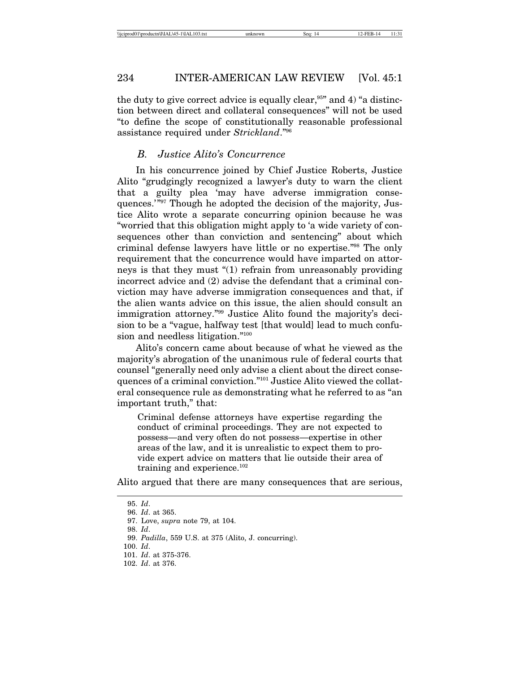the duty to give correct advice is equally clear,  $95"$  and 4) "a distinction between direct and collateral consequences" will not be used "to define the scope of constitutionally reasonable professional assistance required under *Strickland*."96

# *B. Justice Alito's Concurrence*

In his concurrence joined by Chief Justice Roberts, Justice Alito "grudgingly recognized a lawyer's duty to warn the client that a guilty plea 'may have adverse immigration consequences.'"97 Though he adopted the decision of the majority, Justice Alito wrote a separate concurring opinion because he was "worried that this obligation might apply to 'a wide variety of consequences other than conviction and sentencing" about which criminal defense lawyers have little or no expertise."98 The only requirement that the concurrence would have imparted on attorneys is that they must "(1) refrain from unreasonably providing incorrect advice and (2) advise the defendant that a criminal conviction may have adverse immigration consequences and that, if the alien wants advice on this issue, the alien should consult an immigration attorney."99 Justice Alito found the majority's decision to be a "vague, halfway test [that would] lead to much confusion and needless litigation."100

Alito's concern came about because of what he viewed as the majority's abrogation of the unanimous rule of federal courts that counsel "generally need only advise a client about the direct consequences of a criminal conviction."101 Justice Alito viewed the collateral consequence rule as demonstrating what he referred to as "an important truth," that:

Criminal defense attorneys have expertise regarding the conduct of criminal proceedings. They are not expected to possess—and very often do not possess—expertise in other areas of the law, and it is unrealistic to expect them to provide expert advice on matters that lie outside their area of training and experience. $102$ 

Alito argued that there are many consequences that are serious,

<sup>95.</sup> *Id*.

<sup>96.</sup> *Id*. at 365.

<sup>97.</sup> Love, *supra* note 79, at 104. 98. *Id*.

<sup>99.</sup> *Padilla*, 559 U.S. at 375 (Alito, J. concurring).

<sup>100.</sup> *Id*.

<sup>101.</sup> *Id*. at 375-376.

<sup>102.</sup> *Id*. at 376.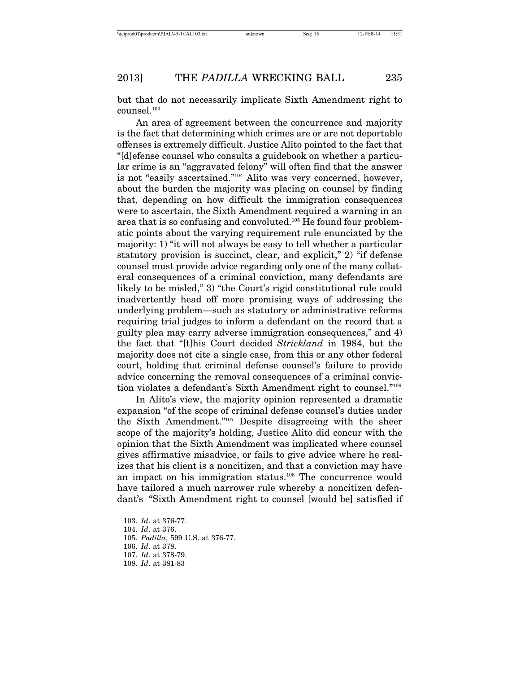but that do not necessarily implicate Sixth Amendment right to counsel.103

An area of agreement between the concurrence and majority is the fact that determining which crimes are or are not deportable offenses is extremely difficult. Justice Alito pointed to the fact that "[d]efense counsel who consults a guidebook on whether a particular crime is an "aggravated felony" will often find that the answer is not "easily ascertained."104 Alito was very concerned, however, about the burden the majority was placing on counsel by finding that, depending on how difficult the immigration consequences were to ascertain, the Sixth Amendment required a warning in an area that is so confusing and convoluted.105 He found four problematic points about the varying requirement rule enunciated by the majority: 1) "it will not always be easy to tell whether a particular statutory provision is succinct, clear, and explicit," 2) "if defense counsel must provide advice regarding only one of the many collateral consequences of a criminal conviction, many defendants are likely to be misled," 3) "the Court's rigid constitutional rule could inadvertently head off more promising ways of addressing the underlying problem—such as statutory or administrative reforms requiring trial judges to inform a defendant on the record that a guilty plea may carry adverse immigration consequences," and 4) the fact that "[t]his Court decided *Strickland* in 1984, but the majority does not cite a single case, from this or any other federal court, holding that criminal defense counsel's failure to provide advice concerning the removal consequences of a criminal conviction violates a defendant's Sixth Amendment right to counsel."106

In Alito's view, the majority opinion represented a dramatic expansion "of the scope of criminal defense counsel's duties under the Sixth Amendment."107 Despite disagreeing with the sheer scope of the majority's holding, Justice Alito did concur with the opinion that the Sixth Amendment was implicated where counsel gives affirmative misadvice, or fails to give advice where he realizes that his client is a noncitizen, and that a conviction may have an impact on his immigration status.108 The concurrence would have tailored a much narrower rule whereby a noncitizen defendant's "Sixth Amendment right to counsel [would be] satisfied if

<sup>103.</sup> *Id*. at 376-77.

<sup>104.</sup> *Id*. at 376.

<sup>105.</sup> *Padilla*, 599 U.S. at 376-77.

<sup>106.</sup> *Id*. at 378.

<sup>107.</sup> *Id*. at 378-79.

<sup>108.</sup> *Id*. at 381-83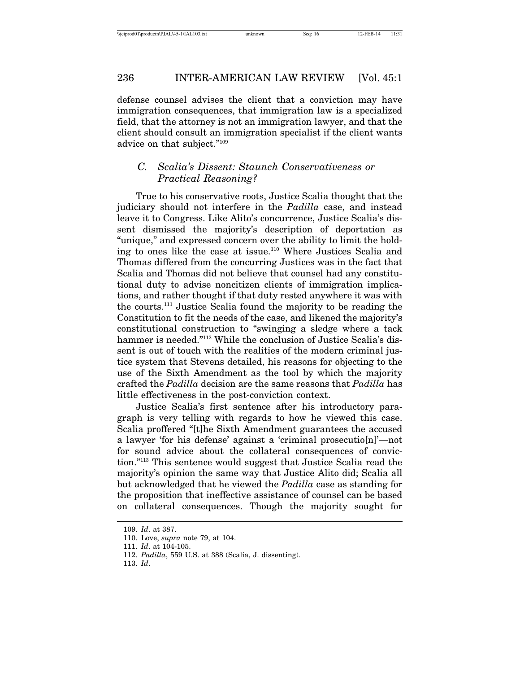defense counsel advises the client that a conviction may have immigration consequences, that immigration law is a specialized field, that the attorney is not an immigration lawyer, and that the client should consult an immigration specialist if the client wants advice on that subject."109

# *C. Scalia's Dissent: Staunch Conservativeness or Practical Reasoning?*

True to his conservative roots, Justice Scalia thought that the judiciary should not interfere in the *Padilla* case, and instead leave it to Congress. Like Alito's concurrence, Justice Scalia's dissent dismissed the majority's description of deportation as "unique," and expressed concern over the ability to limit the holding to ones like the case at issue.110 Where Justices Scalia and Thomas differed from the concurring Justices was in the fact that Scalia and Thomas did not believe that counsel had any constitutional duty to advise noncitizen clients of immigration implications, and rather thought if that duty rested anywhere it was with the courts.111 Justice Scalia found the majority to be reading the Constitution to fit the needs of the case, and likened the majority's constitutional construction to "swinging a sledge where a tack hammer is needed."<sup>112</sup> While the conclusion of Justice Scalia's dissent is out of touch with the realities of the modern criminal justice system that Stevens detailed, his reasons for objecting to the use of the Sixth Amendment as the tool by which the majority crafted the *Padilla* decision are the same reasons that *Padilla* has little effectiveness in the post-conviction context.

Justice Scalia's first sentence after his introductory paragraph is very telling with regards to how he viewed this case. Scalia proffered "[t]he Sixth Amendment guarantees the accused a lawyer 'for his defense' against a 'criminal prosecutio[n]'—not for sound advice about the collateral consequences of conviction."113 This sentence would suggest that Justice Scalia read the majority's opinion the same way that Justice Alito did; Scalia all but acknowledged that he viewed the *Padilla* case as standing for the proposition that ineffective assistance of counsel can be based on collateral consequences. Though the majority sought for

<sup>109.</sup> *Id*. at 387.

<sup>110.</sup> Love, *supra* note 79, at 104.

<sup>111.</sup> *Id*. at 104-105.

<sup>112.</sup> *Padilla*, 559 U.S. at 388 (Scalia, J. dissenting).

<sup>113.</sup> *Id*.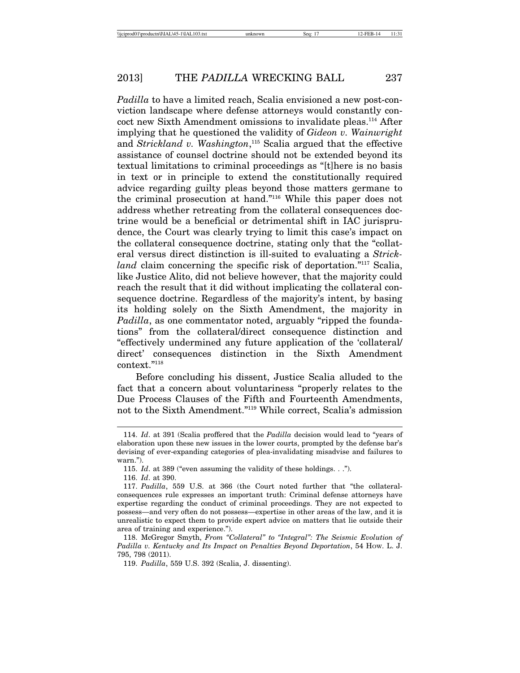*Padilla* to have a limited reach, Scalia envisioned a new post-conviction landscape where defense attorneys would constantly concoct new Sixth Amendment omissions to invalidate pleas.114 After implying that he questioned the validity of *Gideon v. Wainwright* and *Strickland v. Washington*, <sup>115</sup> Scalia argued that the effective assistance of counsel doctrine should not be extended beyond its textual limitations to criminal proceedings as "[t]here is no basis in text or in principle to extend the constitutionally required advice regarding guilty pleas beyond those matters germane to the criminal prosecution at hand."116 While this paper does not address whether retreating from the collateral consequences doctrine would be a beneficial or detrimental shift in IAC jurisprudence, the Court was clearly trying to limit this case's impact on the collateral consequence doctrine, stating only that the "collateral versus direct distinction is ill-suited to evaluating a *Strickland* claim concerning the specific risk of deportation."<sup>117</sup> Scalia, like Justice Alito, did not believe however, that the majority could reach the result that it did without implicating the collateral consequence doctrine. Regardless of the majority's intent, by basing its holding solely on the Sixth Amendment, the majority in *Padilla*, as one commentator noted, arguably "ripped the foundations" from the collateral/direct consequence distinction and "effectively undermined any future application of the 'collateral/ direct' consequences distinction in the Sixth Amendment context."<sup>118</sup>

Before concluding his dissent, Justice Scalia alluded to the fact that a concern about voluntariness "properly relates to the Due Process Clauses of the Fifth and Fourteenth Amendments, not to the Sixth Amendment."119 While correct, Scalia's admission

<sup>114.</sup> *Id*. at 391 (Scalia proffered that the *Padilla* decision would lead to "years of elaboration upon these new issues in the lower courts, prompted by the defense bar's devising of ever-expanding categories of plea-invalidating misadvise and failures to warn.").

<sup>115.</sup> *Id*. at 389 ("even assuming the validity of these holdings. . .").

<sup>116.</sup> *Id*. at 390.

<sup>117.</sup> *Padilla*, 559 U.S. at 366 (the Court noted further that "the collateralconsequences rule expresses an important truth: Criminal defense attorneys have expertise regarding the conduct of criminal proceedings. They are not expected to possess—and very often do not possess—expertise in other areas of the law, and it is unrealistic to expect them to provide expert advice on matters that lie outside their area of training and experience.").

<sup>118.</sup> McGregor Smyth, *From "Collateral" to "Integral": The Seismic Evolution of Padilla v. Kentucky and Its Impact on Penalties Beyond Deportation*, 54 HOW. L. J. 795, 798 (2011).

<sup>119.</sup> *Padilla*, 559 U.S. 392 (Scalia, J. dissenting).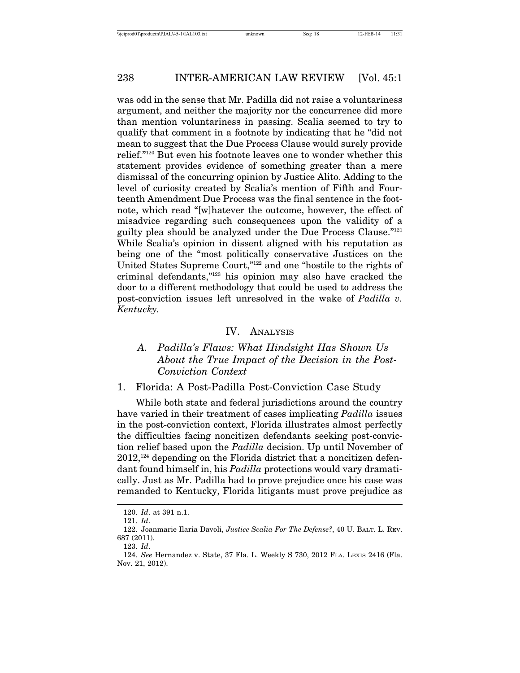was odd in the sense that Mr. Padilla did not raise a voluntariness argument, and neither the majority nor the concurrence did more than mention voluntariness in passing. Scalia seemed to try to qualify that comment in a footnote by indicating that he "did not mean to suggest that the Due Process Clause would surely provide relief."120 But even his footnote leaves one to wonder whether this statement provides evidence of something greater than a mere dismissal of the concurring opinion by Justice Alito. Adding to the level of curiosity created by Scalia's mention of Fifth and Fourteenth Amendment Due Process was the final sentence in the footnote, which read "[w]hatever the outcome, however, the effect of misadvice regarding such consequences upon the validity of a guilty plea should be analyzed under the Due Process Clause."121 While Scalia's opinion in dissent aligned with his reputation as being one of the "most politically conservative Justices on the United States Supreme Court,"122 and one "hostile to the rights of criminal defendants,"123 his opinion may also have cracked the door to a different methodology that could be used to address the post-conviction issues left unresolved in the wake of *Padilla v. Kentucky.*

# IV. ANALYSIS

# *A. Padilla's Flaws: What Hindsight Has Shown Us About the True Impact of the Decision in the Post-Conviction Context*

# 1. Florida: A Post-Padilla Post-Conviction Case Study

While both state and federal jurisdictions around the country have varied in their treatment of cases implicating *Padilla* issues in the post-conviction context, Florida illustrates almost perfectly the difficulties facing noncitizen defendants seeking post-conviction relief based upon the *Padilla* decision. Up until November of  $2012$ ,<sup>124</sup> depending on the Florida district that a noncitizen defendant found himself in, his *Padilla* protections would vary dramatically. Just as Mr. Padilla had to prove prejudice once his case was remanded to Kentucky, Florida litigants must prove prejudice as

<sup>120.</sup> *Id*. at 391 n.1.

<sup>121.</sup> *Id*.

<sup>122.</sup> Joanmarie Ilaria Davoli, *Justice Scalia For The Defense?*, 40 U. BALT. L. REV. 687 (2011).

<sup>123.</sup> *Id*.

<sup>124.</sup> *See* Hernandez v. State, 37 Fla. L. Weekly S 730, 2012 FLA. LEXIS 2416 (Fla. Nov. 21, 2012).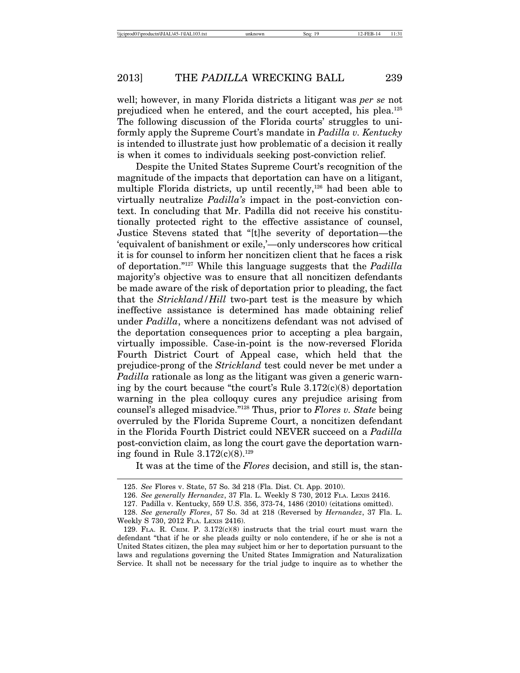well; however, in many Florida districts a litigant was *per se* not prejudiced when he entered, and the court accepted, his plea.125 The following discussion of the Florida courts' struggles to uniformly apply the Supreme Court's mandate in *Padilla v. Kentucky* is intended to illustrate just how problematic of a decision it really is when it comes to individuals seeking post-conviction relief.

Despite the United States Supreme Court's recognition of the magnitude of the impacts that deportation can have on a litigant, multiple Florida districts, up until recently,<sup>126</sup> had been able to virtually neutralize *Padilla's* impact in the post-conviction context. In concluding that Mr. Padilla did not receive his constitutionally protected right to the effective assistance of counsel, Justice Stevens stated that "[t]he severity of deportation—the 'equivalent of banishment or exile,'—only underscores how critical it is for counsel to inform her noncitizen client that he faces a risk of deportation."127 While this language suggests that the *Padilla* majority's objective was to ensure that all noncitizen defendants be made aware of the risk of deportation prior to pleading, the fact that the *Strickland/Hill* two-part test is the measure by which ineffective assistance is determined has made obtaining relief under *Padilla*, where a noncitizens defendant was not advised of the deportation consequences prior to accepting a plea bargain, virtually impossible. Case-in-point is the now-reversed Florida Fourth District Court of Appeal case, which held that the prejudice-prong of the *Strickland* test could never be met under a *Padilla* rationale as long as the litigant was given a generic warning by the court because "the court's Rule  $3.172(c)(8)$  deportation warning in the plea colloquy cures any prejudice arising from counsel's alleged misadvice."128 Thus, prior to *Flores v. State* being overruled by the Florida Supreme Court, a noncitizen defendant in the Florida Fourth District could NEVER succeed on a *Padilla* post-conviction claim, as long the court gave the deportation warning found in Rule  $3.172(c)(8).^{129}$ 

It was at the time of the *Flores* decision, and still is, the stan-

<sup>125.</sup> *See* Flores v. State, 57 So. 3d 218 (Fla. Dist. Ct. App. 2010).

<sup>126.</sup> *See generally Hernandez*, 37 Fla. L. Weekly S 730, 2012 FLA. LEXIS 2416.

<sup>127.</sup> Padilla v. Kentucky, 559 U.S. 356, 373-74, 1486 (2010) (citations omitted).

<sup>128.</sup> *See generally Flores*, 57 So. 3d at 218 (Reversed by *Hernandez*, 37 Fla. L. Weekly S 730, 2012 FLA. LEXIS 2416).

<sup>129.</sup> FLA. R. CRIM. P.  $3.172(c)(8)$  instructs that the trial court must warn the defendant "that if he or she pleads guilty or nolo contendere, if he or she is not a United States citizen, the plea may subject him or her to deportation pursuant to the laws and regulations governing the United States Immigration and Naturalization Service. It shall not be necessary for the trial judge to inquire as to whether the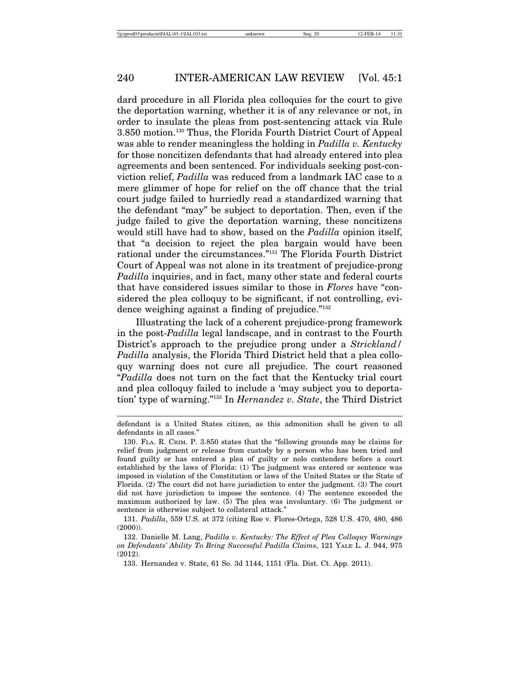dard procedure in all Florida plea colloquies for the court to give the deportation warning, whether it is of any relevance or not, in order to insulate the pleas from post-sentencing attack via Rule 3.850 motion.130 Thus, the Florida Fourth District Court of Appeal was able to render meaningless the holding in *Padilla v. Kentucky* for those noncitizen defendants that had already entered into plea agreements and been sentenced. For individuals seeking post-conviction relief, *Padilla* was reduced from a landmark IAC case to a mere glimmer of hope for relief on the off chance that the trial court judge failed to hurriedly read a standardized warning that the defendant "may" be subject to deportation. Then, even if the judge failed to give the deportation warning, these noncitizens would still have had to show, based on the *Padilla* opinion itself, that "a decision to reject the plea bargain would have been rational under the circumstances."131 The Florida Fourth District Court of Appeal was not alone in its treatment of prejudice-prong *Padilla* inquiries, and in fact, many other state and federal courts that have considered issues similar to those in *Flores* have "considered the plea colloquy to be significant, if not controlling, evidence weighing against a finding of prejudice."<sup>132</sup>

Illustrating the lack of a coherent prejudice-prong framework in the post-*Padilla* legal landscape, and in contrast to the Fourth District's approach to the prejudice prong under a *Strickland/ Padilla* analysis, the Florida Third District held that a plea colloquy warning does not cure all prejudice. The court reasoned "*Padilla* does not turn on the fact that the Kentucky trial court and plea colloquy failed to include a 'may subject you to deportation' type of warning."133 In *Hernandez v. State*, the Third District

defendant is a United States citizen, as this admonition shall be given to all defendants in all cases."

<sup>130.</sup> FLA. R. CRIM. P. 3.850 states that the "following grounds may be claims for relief from judgment or release from custody by a person who has been tried and found guilty or has entered a plea of guilty or nolo contendere before a court established by the laws of Florida: (1) The judgment was entered or sentence was imposed in violation of the Constitution or laws of the United States or the State of Florida. (2) The court did not have jurisdiction to enter the judgment. (3) The court did not have jurisdiction to impose the sentence. (4) The sentence exceeded the maximum authorized by law. (5) The plea was involuntary. (6) The judgment or sentence is otherwise subject to collateral attack."

<sup>131.</sup> *Padilla*, 559 U.S. at 372 (citing Roe v. Flores-Ortega, 528 U.S. 470, 480, 486  $(2000)$ ).

<sup>132.</sup> Danielle M. Lang, *Padilla v. Kentucky: The Effect of Plea Colloquy Warnings on Defendants' Ability To Bring Successful Padilla Claims*, 121 YALE L. J. 944, 975 (2012).

<sup>133.</sup> Hernandez v. State, 61 So. 3d 1144, 1151 (Fla. Dist. Ct. App. 2011).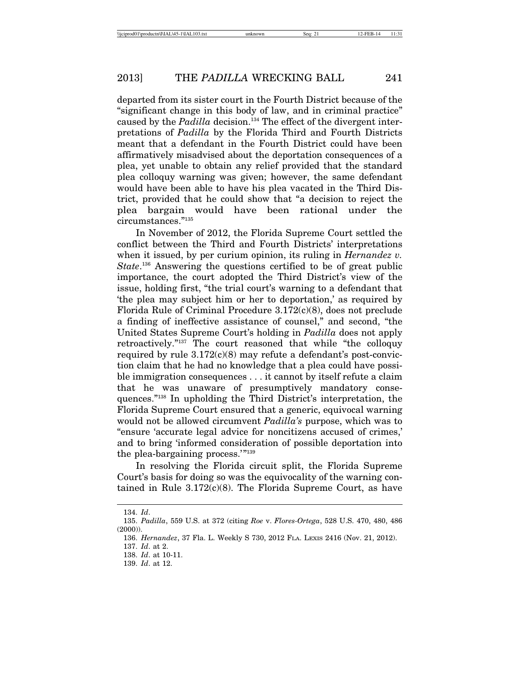departed from its sister court in the Fourth District because of the "significant change in this body of law, and in criminal practice" caused by the *Padilla* decision.<sup>134</sup> The effect of the divergent interpretations of *Padilla* by the Florida Third and Fourth Districts meant that a defendant in the Fourth District could have been affirmatively misadvised about the deportation consequences of a plea, yet unable to obtain any relief provided that the standard plea colloquy warning was given; however, the same defendant would have been able to have his plea vacated in the Third District, provided that he could show that "a decision to reject the plea bargain would have been rational under the circumstances."135

In November of 2012, the Florida Supreme Court settled the conflict between the Third and Fourth Districts' interpretations when it issued, by per curium opinion, its ruling in *Hernandez v. State*. 136 Answering the questions certified to be of great public importance, the court adopted the Third District's view of the issue, holding first, "the trial court's warning to a defendant that 'the plea may subject him or her to deportation,' as required by Florida Rule of Criminal Procedure 3.172(c)(8), does not preclude a finding of ineffective assistance of counsel," and second, "the United States Supreme Court's holding in *Padilla* does not apply retroactively."137 The court reasoned that while "the colloquy required by rule  $3.172(c)(8)$  may refute a defendant's post-conviction claim that he had no knowledge that a plea could have possible immigration consequences . . . it cannot by itself refute a claim that he was unaware of presumptively mandatory consequences."138 In upholding the Third District's interpretation, the Florida Supreme Court ensured that a generic, equivocal warning would not be allowed circumvent *Padilla's* purpose, which was to "ensure 'accurate legal advice for noncitizens accused of crimes,' and to bring 'informed consideration of possible deportation into the plea-bargaining process.'"139

In resolving the Florida circuit split, the Florida Supreme Court's basis for doing so was the equivocality of the warning contained in Rule  $3.172(c)(8)$ . The Florida Supreme Court, as have

<sup>134.</sup> *Id*.

<sup>135.</sup> *Padilla*, 559 U.S. at 372 (citing *Roe* v. *Flores-Ortega*, 528 U.S. 470, 480, 486 (2000)).

<sup>136.</sup> *Hernandez*, 37 Fla. L. Weekly S 730, 2012 FLA. LEXIS 2416 (Nov. 21, 2012).

<sup>137.</sup> *Id*. at 2.

<sup>138.</sup> *Id*. at 10-11.

<sup>139.</sup> *Id*. at 12.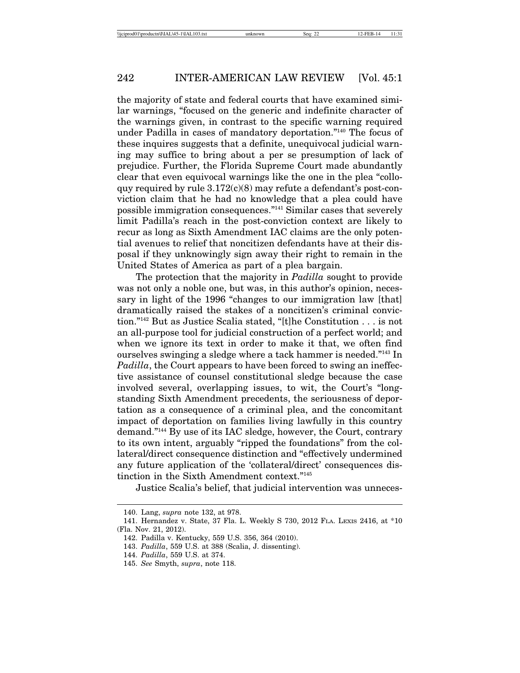the majority of state and federal courts that have examined similar warnings, "focused on the generic and indefinite character of the warnings given, in contrast to the specific warning required under Padilla in cases of mandatory deportation."140 The focus of these inquires suggests that a definite, unequivocal judicial warning may suffice to bring about a per se presumption of lack of prejudice. Further, the Florida Supreme Court made abundantly clear that even equivocal warnings like the one in the plea "colloquy required by rule  $3.172(c)(8)$  may refute a defendant's post-conviction claim that he had no knowledge that a plea could have possible immigration consequences."141 Similar cases that severely limit Padilla's reach in the post-conviction context are likely to recur as long as Sixth Amendment IAC claims are the only potential avenues to relief that noncitizen defendants have at their disposal if they unknowingly sign away their right to remain in the United States of America as part of a plea bargain.

The protection that the majority in *Padilla* sought to provide was not only a noble one, but was, in this author's opinion, necessary in light of the 1996 "changes to our immigration law [that] dramatically raised the stakes of a noncitizen's criminal conviction."142 But as Justice Scalia stated, "[t]he Constitution . . . is not an all-purpose tool for judicial construction of a perfect world; and when we ignore its text in order to make it that, we often find ourselves swinging a sledge where a tack hammer is needed."143 In *Padilla*, the Court appears to have been forced to swing an ineffective assistance of counsel constitutional sledge because the case involved several, overlapping issues, to wit, the Court's "longstanding Sixth Amendment precedents, the seriousness of deportation as a consequence of a criminal plea, and the concomitant impact of deportation on families living lawfully in this country demand."144 By use of its IAC sledge, however, the Court, contrary to its own intent, arguably "ripped the foundations" from the collateral/direct consequence distinction and "effectively undermined any future application of the 'collateral/direct' consequences distinction in the Sixth Amendment context."145

Justice Scalia's belief, that judicial intervention was unneces-

<sup>140.</sup> Lang, *supra* note 132, at 978.

<sup>141.</sup> Hernandez v. State, 37 Fla. L. Weekly S 730, 2012 FLA. LEXIS 2416, at \*10 (Fla. Nov. 21, 2012).

<sup>142.</sup> Padilla v. Kentucky, 559 U.S. 356, 364 (2010).

<sup>143.</sup> *Padilla*, 559 U.S. at 388 (Scalia, J. dissenting).

<sup>144.</sup> *Padilla*, 559 U.S. at 374.

<sup>145.</sup> *See* Smyth, *supra*, note 118.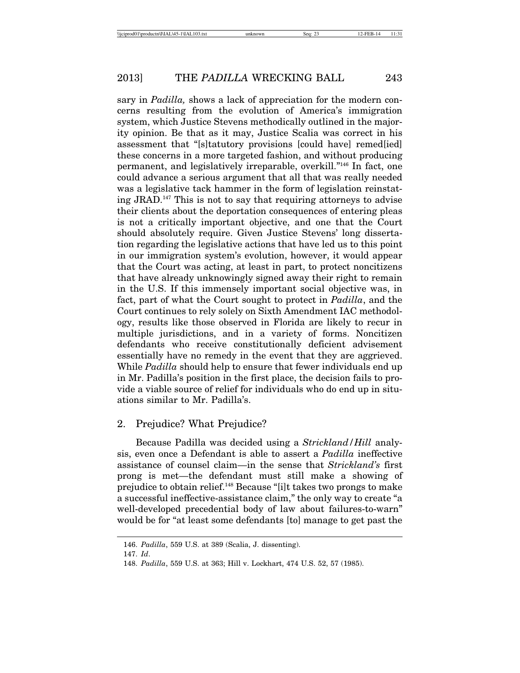sary in *Padilla,* shows a lack of appreciation for the modern concerns resulting from the evolution of America's immigration system, which Justice Stevens methodically outlined in the majority opinion. Be that as it may, Justice Scalia was correct in his assessment that "[s]tatutory provisions [could have] remed[ied] these concerns in a more targeted fashion, and without producing permanent, and legislatively irreparable, overkill."146 In fact, one could advance a serious argument that all that was really needed was a legislative tack hammer in the form of legislation reinstating JRAD.147 This is not to say that requiring attorneys to advise their clients about the deportation consequences of entering pleas is not a critically important objective, and one that the Court should absolutely require. Given Justice Stevens' long dissertation regarding the legislative actions that have led us to this point in our immigration system's evolution, however, it would appear that the Court was acting, at least in part, to protect noncitizens that have already unknowingly signed away their right to remain in the U.S. If this immensely important social objective was, in fact, part of what the Court sought to protect in *Padilla*, and the Court continues to rely solely on Sixth Amendment IAC methodology, results like those observed in Florida are likely to recur in multiple jurisdictions, and in a variety of forms. Noncitizen defendants who receive constitutionally deficient advisement essentially have no remedy in the event that they are aggrieved. While *Padilla* should help to ensure that fewer individuals end up in Mr. Padilla's position in the first place, the decision fails to provide a viable source of relief for individuals who do end up in situations similar to Mr. Padilla's.

## 2. Prejudice? What Prejudice?

Because Padilla was decided using a *Strickland/Hill* analysis, even once a Defendant is able to assert a *Padilla* ineffective assistance of counsel claim—in the sense that *Strickland's* first prong is met—the defendant must still make a showing of prejudice to obtain relief.148 Because "[i]t takes two prongs to make a successful ineffective-assistance claim," the only way to create "a well-developed precedential body of law about failures-to-warn" would be for "at least some defendants [to] manage to get past the

<sup>146.</sup> *Padilla*, 559 U.S. at 389 (Scalia, J. dissenting).

<sup>147.</sup> *Id*.

<sup>148.</sup> *Padilla*, 559 U.S. at 363; Hill v. Lockhart, 474 U.S. 52, 57 (1985).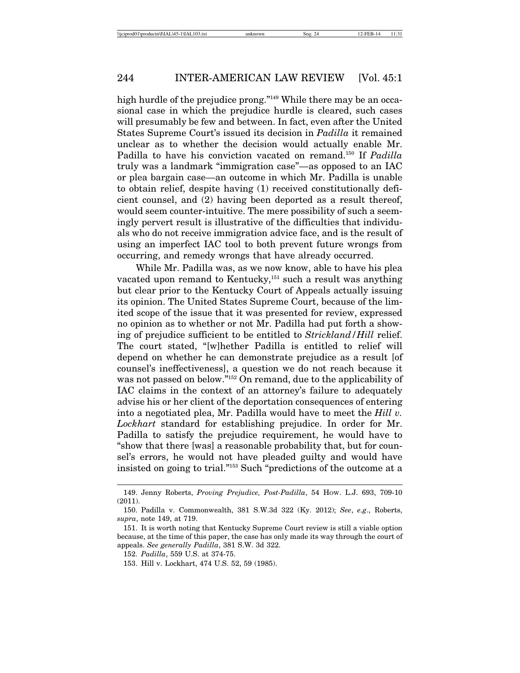high hurdle of the prejudice prong."<sup>149</sup> While there may be an occasional case in which the prejudice hurdle is cleared, such cases will presumably be few and between. In fact, even after the United States Supreme Court's issued its decision in *Padilla* it remained unclear as to whether the decision would actually enable Mr. Padilla to have his conviction vacated on remand.150 If *Padilla* truly was a landmark "immigration case"—as opposed to an IAC or plea bargain case—an outcome in which Mr. Padilla is unable to obtain relief, despite having (1) received constitutionally deficient counsel, and (2) having been deported as a result thereof, would seem counter-intuitive. The mere possibility of such a seemingly pervert result is illustrative of the difficulties that individuals who do not receive immigration advice face, and is the result of using an imperfect IAC tool to both prevent future wrongs from occurring, and remedy wrongs that have already occurred.

While Mr. Padilla was, as we now know, able to have his plea vacated upon remand to Kentucky,<sup>151</sup> such a result was anything but clear prior to the Kentucky Court of Appeals actually issuing its opinion. The United States Supreme Court, because of the limited scope of the issue that it was presented for review, expressed no opinion as to whether or not Mr. Padilla had put forth a showing of prejudice sufficient to be entitled to *Strickland/Hill* relief. The court stated, "[w]hether Padilla is entitled to relief will depend on whether he can demonstrate prejudice as a result [of counsel's ineffectiveness], a question we do not reach because it was not passed on below."152 On remand, due to the applicability of IAC claims in the context of an attorney's failure to adequately advise his or her client of the deportation consequences of entering into a negotiated plea, Mr. Padilla would have to meet the *Hill v. Lockhart* standard for establishing prejudice. In order for Mr. Padilla to satisfy the prejudice requirement, he would have to "show that there [was] a reasonable probability that, but for counsel's errors, he would not have pleaded guilty and would have insisted on going to trial."153 Such "predictions of the outcome at a

<sup>149.</sup> Jenny Roberts, *Proving Prejudice, Post-Padilla*, 54 HOW. L.J. 693, 709-10 (2011).

<sup>150.</sup> Padilla v. Commonwealth, 381 S.W.3d 322 (Ky. 2012); *See*, *e.g*., Roberts, *supra*, note 149, at 719.

<sup>151.</sup> It is worth noting that Kentucky Supreme Court review is still a viable option because, at the time of this paper, the case has only made its way through the court of appeals. *See generally Padilla*, 381 S.W. 3d 322.

<sup>152.</sup> *Padilla*, 559 U.S. at 374-75.

<sup>153.</sup> Hill v. Lockhart, 474 U.S. 52, 59 (1985).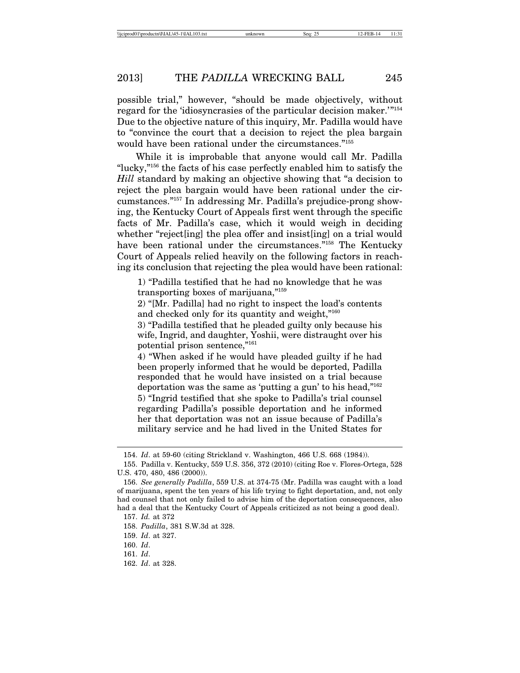possible trial," however, "should be made objectively, without regard for the 'idiosyncrasies of the particular decision maker.'"154 Due to the objective nature of this inquiry, Mr. Padilla would have to "convince the court that a decision to reject the plea bargain would have been rational under the circumstances."155

While it is improbable that anyone would call Mr. Padilla "lucky,"156 the facts of his case perfectly enabled him to satisfy the *Hill* standard by making an objective showing that "a decision to reject the plea bargain would have been rational under the circumstances."157 In addressing Mr. Padilla's prejudice-prong showing, the Kentucky Court of Appeals first went through the specific facts of Mr. Padilla's case, which it would weigh in deciding whether "reject[ing] the plea offer and insist[ing] on a trial would have been rational under the circumstances."<sup>158</sup> The Kentucky Court of Appeals relied heavily on the following factors in reaching its conclusion that rejecting the plea would have been rational:

1) "Padilla testified that he had no knowledge that he was transporting boxes of marijuana,"159

2) "[Mr. Padilla] had no right to inspect the load's contents and checked only for its quantity and weight,"<sup>160</sup>

3) "Padilla testified that he pleaded guilty only because his wife, Ingrid, and daughter, Yoshii, were distraught over his potential prison sentence,"161

4) "When asked if he would have pleaded guilty if he had been properly informed that he would be deported, Padilla responded that he would have insisted on a trial because deportation was the same as 'putting a gun' to his head,"162

5) "Ingrid testified that she spoke to Padilla's trial counsel regarding Padilla's possible deportation and he informed her that deportation was not an issue because of Padilla's military service and he had lived in the United States for

<sup>154.</sup> *Id*. at 59-60 (citing Strickland v. Washington, 466 U.S. 668 (1984)).

<sup>155.</sup> Padilla v. Kentucky, 559 U.S. 356, 372 (2010) (citing Roe v. Flores-Ortega, 528 U.S. 470, 480, 486 (2000)).

<sup>156.</sup> *See generally Padilla*, 559 U.S. at 374-75 (Mr. Padilla was caught with a load of marijuana, spent the ten years of his life trying to fight deportation, and, not only had counsel that not only failed to advise him of the deportation consequences, also had a deal that the Kentucky Court of Appeals criticized as not being a good deal).

<sup>157.</sup> *Id.* at 372

<sup>158.</sup> *Padilla*, 381 S.W.3d at 328.

<sup>159.</sup> *Id*. at 327.

<sup>160.</sup> *Id*.

<sup>161.</sup> *Id*.

<sup>162.</sup> *Id*. at 328.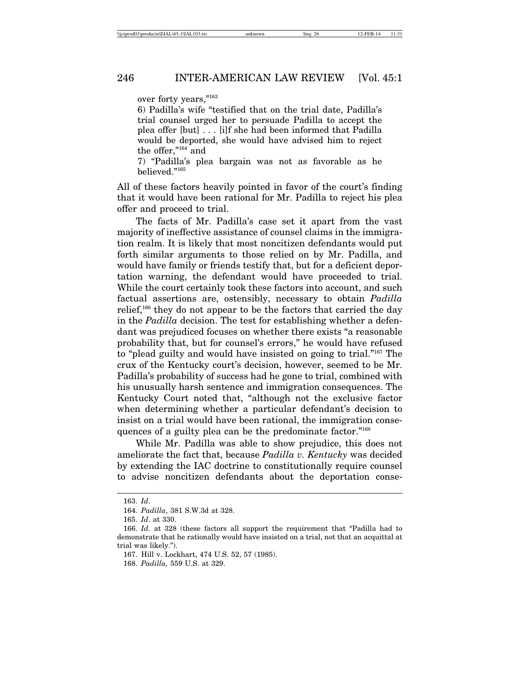over forty years,"163

6) Padilla's wife "testified that on the trial date, Padilla's trial counsel urged her to persuade Padilla to accept the plea offer [but] . . . [i]f she had been informed that Padilla would be deported, she would have advised him to reject the offer,"164 and

7) "Padilla's plea bargain was not as favorable as he believed."165

All of these factors heavily pointed in favor of the court's finding that it would have been rational for Mr. Padilla to reject his plea offer and proceed to trial.

The facts of Mr. Padilla's case set it apart from the vast majority of ineffective assistance of counsel claims in the immigration realm. It is likely that most noncitizen defendants would put forth similar arguments to those relied on by Mr. Padilla, and would have family or friends testify that, but for a deficient deportation warning, the defendant would have proceeded to trial. While the court certainly took these factors into account, and such factual assertions are, ostensibly, necessary to obtain *Padilla* relief,<sup>166</sup> they do not appear to be the factors that carried the day in the *Padilla* decision. The test for establishing whether a defendant was prejudiced focuses on whether there exists "a reasonable probability that, but for counsel's errors," he would have refused to "plead guilty and would have insisted on going to trial."167 The crux of the Kentucky court's decision, however, seemed to be Mr. Padilla's probability of success had he gone to trial, combined with his unusually harsh sentence and immigration consequences. The Kentucky Court noted that, "although not the exclusive factor when determining whether a particular defendant's decision to insist on a trial would have been rational, the immigration consequences of a guilty plea can be the predominate factor."168

While Mr. Padilla was able to show prejudice, this does not ameliorate the fact that, because *Padilla v. Kentucky* was decided by extending the IAC doctrine to constitutionally require counsel to advise noncitizen defendants about the deportation conse-

<sup>163.</sup> *Id*.

<sup>164.</sup> *Padilla*, 381 S.W.3d at 328.

<sup>165.</sup> *Id*. at 330.

<sup>166.</sup> *Id.* at 328 (these factors all support the requirement that "Padilla had to demonstrate that he rationally would have insisted on a trial, not that an acquittal at trial was likely.").

<sup>167.</sup> Hill v. Lockhart, 474 U.S. 52, 57 (1985).

<sup>168.</sup> *Padilla,* 559 U.S. at 329.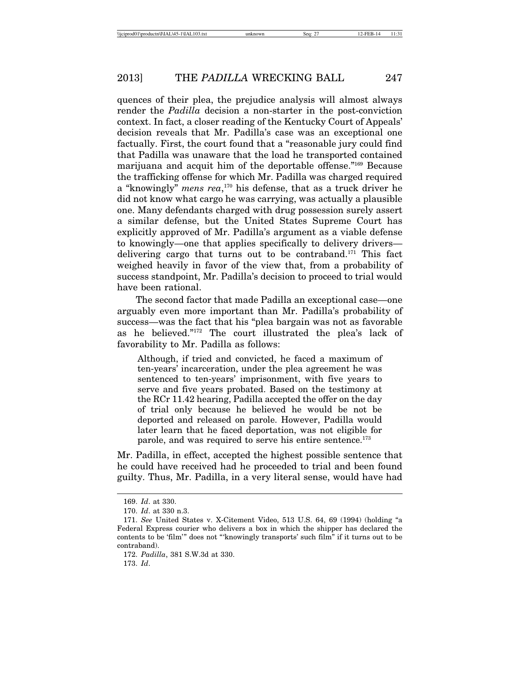quences of their plea, the prejudice analysis will almost always render the *Padilla* decision a non-starter in the post-conviction context. In fact, a closer reading of the Kentucky Court of Appeals' decision reveals that Mr. Padilla's case was an exceptional one factually. First, the court found that a "reasonable jury could find that Padilla was unaware that the load he transported contained marijuana and acquit him of the deportable offense."169 Because the trafficking offense for which Mr. Padilla was charged required a "knowingly" *mens rea*, 170 his defense, that as a truck driver he did not know what cargo he was carrying, was actually a plausible one. Many defendants charged with drug possession surely assert a similar defense, but the United States Supreme Court has explicitly approved of Mr. Padilla's argument as a viable defense to knowingly—one that applies specifically to delivery drivers delivering cargo that turns out to be contraband.171 This fact weighed heavily in favor of the view that, from a probability of success standpoint, Mr. Padilla's decision to proceed to trial would have been rational.

The second factor that made Padilla an exceptional case—one arguably even more important than Mr. Padilla's probability of success—was the fact that his "plea bargain was not as favorable as he believed."172 The court illustrated the plea's lack of favorability to Mr. Padilla as follows:

Although, if tried and convicted, he faced a maximum of ten-years' incarceration, under the plea agreement he was sentenced to ten-years' imprisonment, with five years to serve and five years probated. Based on the testimony at the RCr 11.42 hearing, Padilla accepted the offer on the day of trial only because he believed he would be not be deported and released on parole. However, Padilla would later learn that he faced deportation, was not eligible for parole, and was required to serve his entire sentence.<sup>173</sup>

Mr. Padilla, in effect, accepted the highest possible sentence that he could have received had he proceeded to trial and been found guilty. Thus, Mr. Padilla, in a very literal sense, would have had

173. *Id*.

<sup>169.</sup> *Id*. at 330.

<sup>170.</sup> *Id*. at 330 n.3.

<sup>171.</sup> *See* United States v. X-Citement Video, 513 U.S. 64, 69 (1994) (holding "a Federal Express courier who delivers a box in which the shipper has declared the contents to be 'film'" does not "'knowingly transports' such film" if it turns out to be contraband).

<sup>172.</sup> *Padilla*, 381 S.W.3d at 330.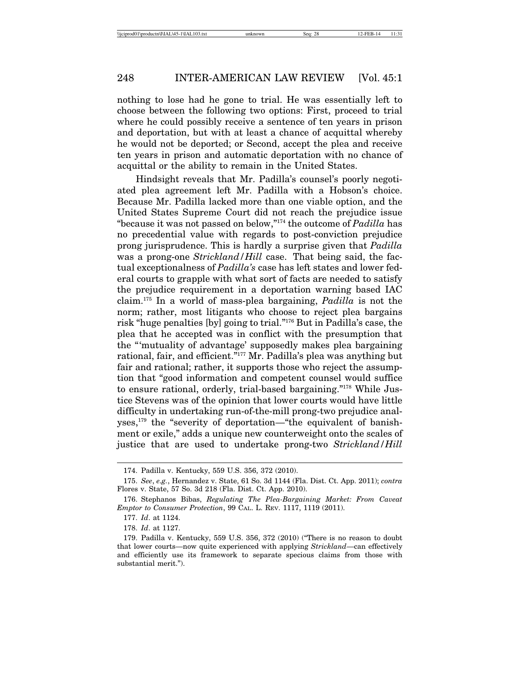nothing to lose had he gone to trial. He was essentially left to choose between the following two options: First, proceed to trial where he could possibly receive a sentence of ten years in prison and deportation, but with at least a chance of acquittal whereby he would not be deported; or Second, accept the plea and receive ten years in prison and automatic deportation with no chance of acquittal or the ability to remain in the United States.

Hindsight reveals that Mr. Padilla's counsel's poorly negotiated plea agreement left Mr. Padilla with a Hobson's choice. Because Mr. Padilla lacked more than one viable option, and the United States Supreme Court did not reach the prejudice issue "because it was not passed on below,"174 the outcome of *Padilla* has no precedential value with regards to post-conviction prejudice prong jurisprudence. This is hardly a surprise given that *Padilla* was a prong-one *Strickland/Hill* case. That being said, the factual exceptionalness of *Padilla's* case has left states and lower federal courts to grapple with what sort of facts are needed to satisfy the prejudice requirement in a deportation warning based IAC claim.175 In a world of mass-plea bargaining, *Padilla* is not the norm; rather, most litigants who choose to reject plea bargains risk "huge penalties [by] going to trial."176 But in Padilla's case, the plea that he accepted was in conflict with the presumption that the "'mutuality of advantage' supposedly makes plea bargaining rational, fair, and efficient."177 Mr. Padilla's plea was anything but fair and rational; rather, it supports those who reject the assumption that "good information and competent counsel would suffice to ensure rational, orderly, trial-based bargaining."178 While Justice Stevens was of the opinion that lower courts would have little difficulty in undertaking run-of-the-mill prong-two prejudice analyses,<sup>179</sup> the "severity of deportation—"the equivalent of banishment or exile," adds a unique new counterweight onto the scales of justice that are used to undertake prong-two *Strickland/Hill*

<sup>174.</sup> Padilla v. Kentucky, 559 U.S. 356, 372 (2010).

<sup>175.</sup> *See*, *e.g.*, Hernandez v. State, 61 So. 3d 1144 (Fla. Dist. Ct. App. 2011); *contra* Flores v. State, 57 So. 3d 218 (Fla. Dist. Ct. App. 2010).

<sup>176.</sup> Stephanos Bibas, *Regulating The Plea-Bargaining Market: From Caveat Emptor to Consumer Protection*, 99 CAL. L. REV. 1117, 1119 (2011).

<sup>177.</sup> *Id*. at 1124.

<sup>178.</sup> *Id*. at 1127.

<sup>179.</sup> Padilla v. Kentucky, 559 U.S. 356, 372 (2010) ("There is no reason to doubt that lower courts—now quite experienced with applying *Strickland*—can effectively and efficiently use its framework to separate specious claims from those with substantial merit.").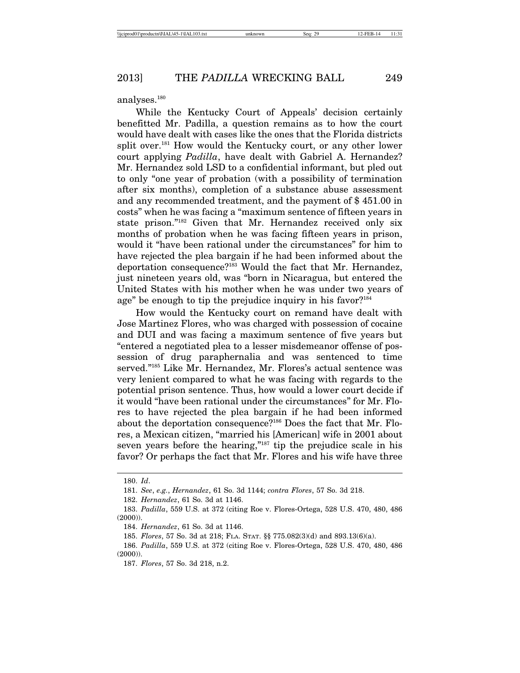analyses.180

While the Kentucky Court of Appeals' decision certainly benefitted Mr. Padilla, a question remains as to how the court would have dealt with cases like the ones that the Florida districts split over.<sup>181</sup> How would the Kentucky court, or any other lower court applying *Padilla*, have dealt with Gabriel A. Hernandez? Mr. Hernandez sold LSD to a confidential informant, but pled out to only "one year of probation (with a possibility of termination after six months), completion of a substance abuse assessment and any recommended treatment, and the payment of \$ 451.00 in costs" when he was facing a "maximum sentence of fifteen years in state prison."182 Given that Mr. Hernandez received only six months of probation when he was facing fifteen years in prison, would it "have been rational under the circumstances" for him to have rejected the plea bargain if he had been informed about the deportation consequence?183 Would the fact that Mr. Hernandez, just nineteen years old, was "born in Nicaragua, but entered the United States with his mother when he was under two years of age" be enough to tip the prejudice inquiry in his favor?<sup>184</sup>

How would the Kentucky court on remand have dealt with Jose Martinez Flores, who was charged with possession of cocaine and DUI and was facing a maximum sentence of five years but "entered a negotiated plea to a lesser misdemeanor offense of possession of drug paraphernalia and was sentenced to time served."185 Like Mr. Hernandez, Mr. Flores's actual sentence was very lenient compared to what he was facing with regards to the potential prison sentence. Thus, how would a lower court decide if it would "have been rational under the circumstances" for Mr. Flores to have rejected the plea bargain if he had been informed about the deportation consequence?186 Does the fact that Mr. Flores, a Mexican citizen, "married his [American] wife in 2001 about seven years before the hearing,"<sup>187</sup> tip the prejudice scale in his favor? Or perhaps the fact that Mr. Flores and his wife have three

<sup>180.</sup> *Id*.

<sup>181.</sup> *See*, *e.g.*, *Hernandez*, 61 So. 3d 1144; *contra Flores*, 57 So. 3d 218.

<sup>182.</sup> *Hernandez*, 61 So. 3d at 1146.

<sup>183.</sup> *Padilla*, 559 U.S. at 372 (citing Roe v. Flores-Ortega, 528 U.S. 470, 480, 486 (2000)).

<sup>184.</sup> *Hernandez*, 61 So. 3d at 1146.

<sup>185.</sup> *Flores*, 57 So. 3d at 218; FLA. STAT. §§ 775.082(3)(d) and 893.13(6)(a).

<sup>186.</sup> *Padilla*, 559 U.S. at 372 (citing Roe v. Flores-Ortega, 528 U.S. 470, 480, 486 (2000)).

<sup>187.</sup> *Flores*, 57 So. 3d 218, n.2.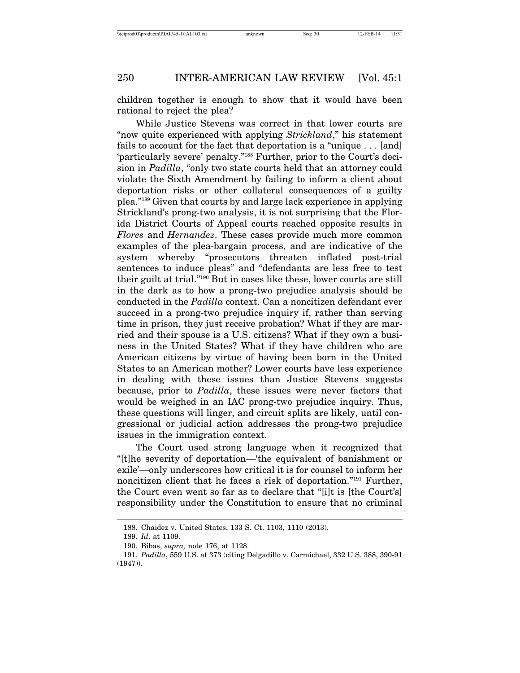children together is enough to show that it would have been rational to reject the plea?

While Justice Stevens was correct in that lower courts are "now quite experienced with applying *Strickland*," his statement fails to account for the fact that deportation is a "unique . . . [and] 'particularly severe' penalty."188 Further, prior to the Court's decision in *Padilla*, "only two state courts held that an attorney could violate the Sixth Amendment by failing to inform a client about deportation risks or other collateral consequences of a guilty plea."189 Given that courts by and large lack experience in applying Strickland's prong-two analysis, it is not surprising that the Florida District Courts of Appeal courts reached opposite results in *Flores* and *Hernandez*. These cases provide much more common examples of the plea-bargain process, and are indicative of the system whereby "prosecutors threaten inflated post-trial sentences to induce pleas" and "defendants are less free to test their guilt at trial."190 But in cases like these, lower courts are still in the dark as to how a prong-two prejudice analysis should be conducted in the *Padilla* context. Can a noncitizen defendant ever succeed in a prong-two prejudice inquiry if, rather than serving time in prison, they just receive probation? What if they are married and their spouse is a U.S. citizens? What if they own a business in the United States? What if they have children who are American citizens by virtue of having been born in the United States to an American mother? Lower courts have less experience in dealing with these issues than Justice Stevens suggests because, prior to *Padilla*, these issues were never factors that would be weighed in an IAC prong-two prejudice inquiry. Thus, these questions will linger, and circuit splits are likely, until congressional or judicial action addresses the prong-two prejudice issues in the immigration context.

The Court used strong language when it recognized that "[t]he severity of deportation—'the equivalent of banishment or exile'—only underscores how critical it is for counsel to inform her noncitizen client that he faces a risk of deportation."191 Further, the Court even went so far as to declare that "[i]t is [the Court's] responsibility under the Constitution to ensure that no criminal

<sup>188.</sup> Chaidez v. United States, 133 S. Ct. 1103, 1110 (2013).

<sup>189.</sup> *Id*. at 1109.

<sup>190.</sup> Bibas, *supra,* note 176, at 1128.

<sup>191.</sup> *Padilla*, 559 U.S. at 373 (citing Delgadillo v. Carmichael, 332 U.S. 388, 390-91 (1947)).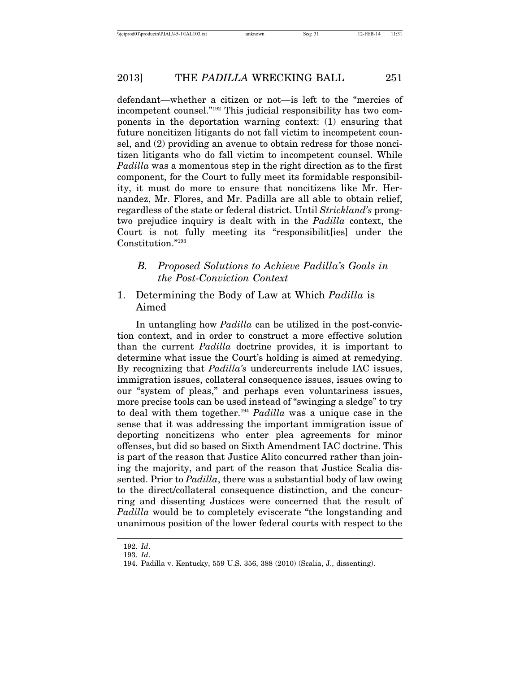defendant—whether a citizen or not—is left to the "mercies of incompetent counsel."192 This judicial responsibility has two components in the deportation warning context: (1) ensuring that future noncitizen litigants do not fall victim to incompetent counsel, and (2) providing an avenue to obtain redress for those noncitizen litigants who do fall victim to incompetent counsel. While *Padilla* was a momentous step in the right direction as to the first component, for the Court to fully meet its formidable responsibility, it must do more to ensure that noncitizens like Mr. Hernandez, Mr. Flores, and Mr. Padilla are all able to obtain relief, regardless of the state or federal district. Until *Strickland's* prongtwo prejudice inquiry is dealt with in the *Padilla* context, the Court is not fully meeting its "responsibilit[ies] under the Constitution."193

# *B. Proposed Solutions to Achieve Padilla's Goals in the Post-Conviction Context*

# 1. Determining the Body of Law at Which *Padilla* is Aimed

In untangling how *Padilla* can be utilized in the post-conviction context, and in order to construct a more effective solution than the current *Padilla* doctrine provides, it is important to determine what issue the Court's holding is aimed at remedying. By recognizing that *Padilla's* undercurrents include IAC issues, immigration issues, collateral consequence issues, issues owing to our "system of pleas," and perhaps even voluntariness issues, more precise tools can be used instead of "swinging a sledge" to try to deal with them together.194 *Padilla* was a unique case in the sense that it was addressing the important immigration issue of deporting noncitizens who enter plea agreements for minor offenses, but did so based on Sixth Amendment IAC doctrine. This is part of the reason that Justice Alito concurred rather than joining the majority, and part of the reason that Justice Scalia dissented. Prior to *Padilla*, there was a substantial body of law owing to the direct/collateral consequence distinction, and the concurring and dissenting Justices were concerned that the result of *Padilla* would be to completely eviscerate "the longstanding and unanimous position of the lower federal courts with respect to the

<sup>192.</sup> *Id*.

<sup>193.</sup> *Id*.

<sup>194.</sup> Padilla v. Kentucky, 559 U.S. 356, 388 (2010) (Scalia, J., dissenting).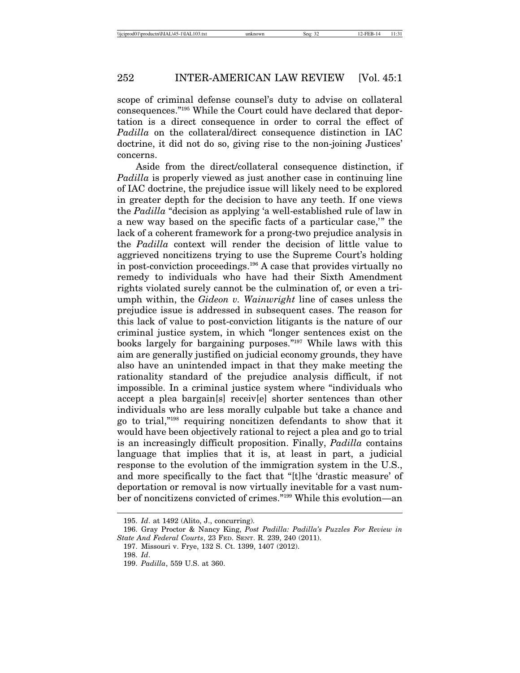scope of criminal defense counsel's duty to advise on collateral consequences."195 While the Court could have declared that deportation is a direct consequence in order to corral the effect of *Padilla* on the collateral/direct consequence distinction in IAC doctrine, it did not do so, giving rise to the non-joining Justices' concerns.

Aside from the direct/collateral consequence distinction, if *Padilla* is properly viewed as just another case in continuing line of IAC doctrine, the prejudice issue will likely need to be explored in greater depth for the decision to have any teeth. If one views the *Padilla* "decision as applying 'a well-established rule of law in a new way based on the specific facts of a particular case,'" the lack of a coherent framework for a prong-two prejudice analysis in the *Padilla* context will render the decision of little value to aggrieved noncitizens trying to use the Supreme Court's holding in post-conviction proceedings.196 A case that provides virtually no remedy to individuals who have had their Sixth Amendment rights violated surely cannot be the culmination of, or even a triumph within, the *Gideon v. Wainwright* line of cases unless the prejudice issue is addressed in subsequent cases. The reason for this lack of value to post-conviction litigants is the nature of our criminal justice system, in which "longer sentences exist on the books largely for bargaining purposes."197 While laws with this aim are generally justified on judicial economy grounds, they have also have an unintended impact in that they make meeting the rationality standard of the prejudice analysis difficult, if not impossible. In a criminal justice system where "individuals who accept a plea bargain[s] receiv[e] shorter sentences than other individuals who are less morally culpable but take a chance and go to trial,"198 requiring noncitizen defendants to show that it would have been objectively rational to reject a plea and go to trial is an increasingly difficult proposition. Finally, *Padilla* contains language that implies that it is, at least in part, a judicial response to the evolution of the immigration system in the U.S., and more specifically to the fact that "[t]he 'drastic measure' of deportation or removal is now virtually inevitable for a vast number of noncitizens convicted of crimes."199 While this evolution—an

<sup>195.</sup> *Id*. at 1492 (Alito, J., concurring).

<sup>196.</sup> Gray Proctor & Nancy King, *Post Padilla: Padilla's Puzzles For Review in State And Federal Courts*, 23 FED. SENT. R. 239, 240 (2011).

<sup>197.</sup> Missouri v. Frye, 132 S. Ct. 1399, 1407 (2012).

<sup>198.</sup> *Id*.

<sup>199.</sup> *Padilla*, 559 U.S. at 360.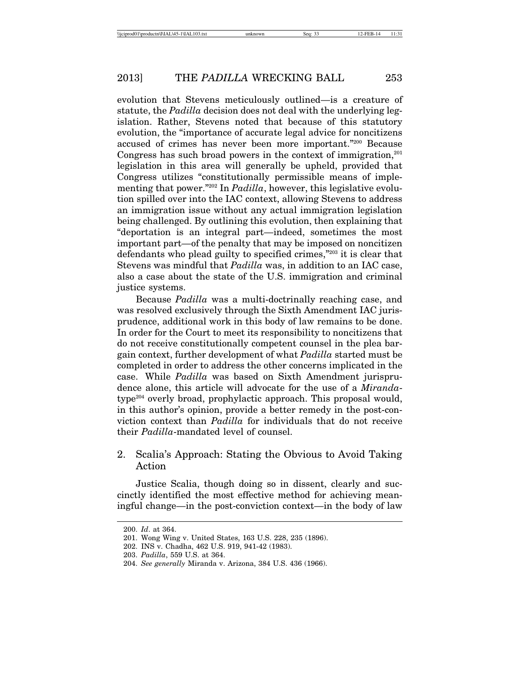evolution that Stevens meticulously outlined—is a creature of statute, the *Padilla* decision does not deal with the underlying legislation. Rather, Stevens noted that because of this statutory evolution, the "importance of accurate legal advice for noncitizens accused of crimes has never been more important."200 Because Congress has such broad powers in the context of immigration, $^{201}$ legislation in this area will generally be upheld, provided that Congress utilizes "constitutionally permissible means of implementing that power."202 In *Padilla*, however, this legislative evolution spilled over into the IAC context, allowing Stevens to address an immigration issue without any actual immigration legislation being challenged. By outlining this evolution, then explaining that "deportation is an integral part—indeed, sometimes the most important part—of the penalty that may be imposed on noncitizen defendants who plead guilty to specified crimes,"203 it is clear that Stevens was mindful that *Padilla* was, in addition to an IAC case, also a case about the state of the U.S. immigration and criminal justice systems.

Because *Padilla* was a multi-doctrinally reaching case, and was resolved exclusively through the Sixth Amendment IAC jurisprudence, additional work in this body of law remains to be done. In order for the Court to meet its responsibility to noncitizens that do not receive constitutionally competent counsel in the plea bargain context, further development of what *Padilla* started must be completed in order to address the other concerns implicated in the case. While *Padilla* was based on Sixth Amendment jurisprudence alone, this article will advocate for the use of a *Miranda*type204 overly broad, prophylactic approach. This proposal would, in this author's opinion, provide a better remedy in the post-conviction context than *Padilla* for individuals that do not receive their *Padilla*-mandated level of counsel.

# 2. Scalia's Approach: Stating the Obvious to Avoid Taking Action

Justice Scalia, though doing so in dissent, clearly and succinctly identified the most effective method for achieving meaningful change—in the post-conviction context—in the body of law

<sup>200.</sup> *Id*. at 364.

<sup>201.</sup> Wong Wing v. United States, 163 U.S. 228, 235 (1896).

<sup>202.</sup> INS v. Chadha, 462 U.S. 919, 941-42 (1983).

<sup>203.</sup> *Padilla*, 559 U.S. at 364.

<sup>204.</sup> *See generally* Miranda v. Arizona, 384 U.S. 436 (1966).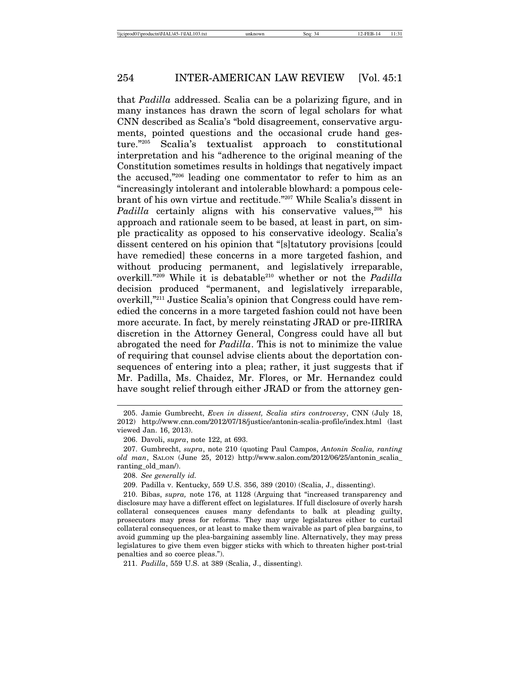that *Padilla* addressed. Scalia can be a polarizing figure, and in many instances has drawn the scorn of legal scholars for what CNN described as Scalia's "bold disagreement, conservative arguments, pointed questions and the occasional crude hand gesture."205 Scalia's textualist approach to constitutional interpretation and his "adherence to the original meaning of the Constitution sometimes results in holdings that negatively impact the accused,"206 leading one commentator to refer to him as an "increasingly intolerant and intolerable blowhard: a pompous celebrant of his own virtue and rectitude."207 While Scalia's dissent in *Padilla* certainly aligns with his conservative values,<sup>208</sup> his approach and rationale seem to be based, at least in part, on simple practicality as opposed to his conservative ideology. Scalia's dissent centered on his opinion that "[s]tatutory provisions [could have remedied] these concerns in a more targeted fashion, and without producing permanent, and legislatively irreparable, overkill."209 While it is debatable210 whether or not the *Padilla* decision produced "permanent, and legislatively irreparable, overkill,"211 Justice Scalia's opinion that Congress could have remedied the concerns in a more targeted fashion could not have been more accurate. In fact, by merely reinstating JRAD or pre-IIRIRA discretion in the Attorney General, Congress could have all but abrogated the need for *Padilla*. This is not to minimize the value of requiring that counsel advise clients about the deportation consequences of entering into a plea; rather, it just suggests that if Mr. Padilla, Ms. Chaidez, Mr. Flores, or Mr. Hernandez could have sought relief through either JRAD or from the attorney gen-

<sup>205.</sup> Jamie Gumbrecht, *Even in dissent, Scalia stirs controversy*, CNN (July 18, 2012) http://www.cnn.com/2012/07/18/justice/antonin-scalia-profile/index.html (last viewed Jan. 16, 2013).

<sup>206.</sup> Davoli, *supra*, note 122, at 693.

<sup>207.</sup> Gumbrecht, *supra*, note 210 (quoting Paul Campos, *Antonin Scalia, ranting old man*, SALON (June 25, 2012) http://www.salon.com/2012/06/25/antonin\_scalia\_ ranting\_old\_man/).

<sup>208.</sup> *See generally id.*

<sup>209.</sup> Padilla v. Kentucky, 559 U.S. 356, 389 (2010) (Scalia, J., dissenting).

<sup>210.</sup> Bibas, *supra,* note 176, at 1128 (Arguing that "increased transparency and disclosure may have a different effect on legislatures. If full disclosure of overly harsh collateral consequences causes many defendants to balk at pleading guilty, prosecutors may press for reforms. They may urge legislatures either to curtail collateral consequences, or at least to make them waivable as part of plea bargains, to avoid gumming up the plea-bargaining assembly line. Alternatively, they may press legislatures to give them even bigger sticks with which to threaten higher post-trial penalties and so coerce pleas.").

<sup>211.</sup> *Padilla*, 559 U.S. at 389 (Scalia, J., dissenting).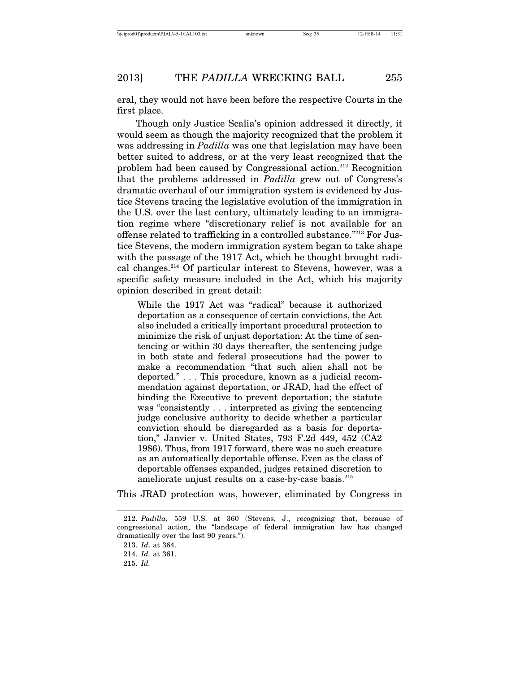eral, they would not have been before the respective Courts in the first place.

Though only Justice Scalia's opinion addressed it directly, it would seem as though the majority recognized that the problem it was addressing in *Padilla* was one that legislation may have been better suited to address, or at the very least recognized that the problem had been caused by Congressional action.212 Recognition that the problems addressed in *Padilla* grew out of Congress's dramatic overhaul of our immigration system is evidenced by Justice Stevens tracing the legislative evolution of the immigration in the U.S. over the last century, ultimately leading to an immigration regime where "discretionary relief is not available for an offense related to trafficking in a controlled substance."213 For Justice Stevens, the modern immigration system began to take shape with the passage of the 1917 Act, which he thought brought radical changes.214 Of particular interest to Stevens, however, was a specific safety measure included in the Act, which his majority opinion described in great detail:

While the 1917 Act was "radical" because it authorized deportation as a consequence of certain convictions, the Act also included a critically important procedural protection to minimize the risk of unjust deportation: At the time of sentencing or within 30 days thereafter, the sentencing judge in both state and federal prosecutions had the power to make a recommendation "that such alien shall not be deported." . . . This procedure, known as a judicial recommendation against deportation, or JRAD, had the effect of binding the Executive to prevent deportation; the statute was "consistently . . . interpreted as giving the sentencing judge conclusive authority to decide whether a particular conviction should be disregarded as a basis for deportation," Janvier v. United States, 793 F.2d 449, 452 (CA2 1986). Thus, from 1917 forward, there was no such creature as an automatically deportable offense. Even as the class of deportable offenses expanded, judges retained discretion to ameliorate unjust results on a case-by-case basis.<sup>215</sup>

This JRAD protection was, however, eliminated by Congress in

<sup>212.</sup> *Padilla*, 559 U.S. at 360 (Stevens, J., recognizing that, because of congressional action, the "landscape of federal immigration law has changed dramatically over the last 90 years.").

<sup>213.</sup> *Id*. at 364.

<sup>214.</sup> *Id.* at 361.

<sup>215.</sup> *Id.*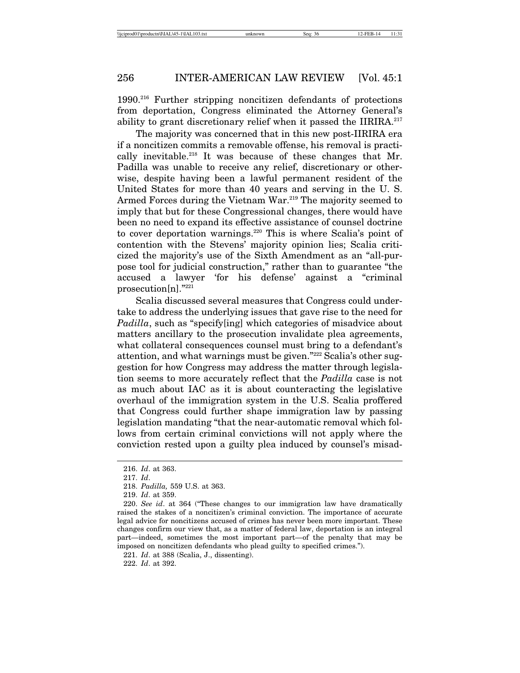1990.216 Further stripping noncitizen defendants of protections from deportation, Congress eliminated the Attorney General's ability to grant discretionary relief when it passed the IIRIRA.<sup>217</sup>

The majority was concerned that in this new post-IIRIRA era if a noncitizen commits a removable offense, his removal is practically inevitable.218 It was because of these changes that Mr. Padilla was unable to receive any relief, discretionary or otherwise, despite having been a lawful permanent resident of the United States for more than 40 years and serving in the U. S. Armed Forces during the Vietnam War.<sup>219</sup> The majority seemed to imply that but for these Congressional changes, there would have been no need to expand its effective assistance of counsel doctrine to cover deportation warnings.<sup>220</sup> This is where Scalia's point of contention with the Stevens' majority opinion lies; Scalia criticized the majority's use of the Sixth Amendment as an "all-purpose tool for judicial construction," rather than to guarantee "the accused a lawyer 'for his defense' against a "criminal prosecution[n]."221

Scalia discussed several measures that Congress could undertake to address the underlying issues that gave rise to the need for *Padilla*, such as "specify [ing] which categories of misadvice about matters ancillary to the prosecution invalidate plea agreements, what collateral consequences counsel must bring to a defendant's attention, and what warnings must be given."222 Scalia's other suggestion for how Congress may address the matter through legislation seems to more accurately reflect that the *Padilla* case is not as much about IAC as it is about counteracting the legislative overhaul of the immigration system in the U.S. Scalia proffered that Congress could further shape immigration law by passing legislation mandating "that the near-automatic removal which follows from certain criminal convictions will not apply where the conviction rested upon a guilty plea induced by counsel's misad-

<sup>216.</sup> *Id*. at 363.

<sup>217.</sup> *Id*.

<sup>218.</sup> *Padilla,* 559 U.S. at 363.

<sup>219.</sup> *Id*. at 359.

<sup>220.</sup> *See id*. at 364 ("These changes to our immigration law have dramatically raised the stakes of a noncitizen's criminal conviction. The importance of accurate legal advice for noncitizens accused of crimes has never been more important. These changes confirm our view that, as a matter of federal law, deportation is an integral part—indeed, sometimes the most important part—of the penalty that may be imposed on noncitizen defendants who plead guilty to specified crimes.").

<sup>221.</sup> *Id*. at 388 (Scalia, J., dissenting).

<sup>222.</sup> *Id*. at 392.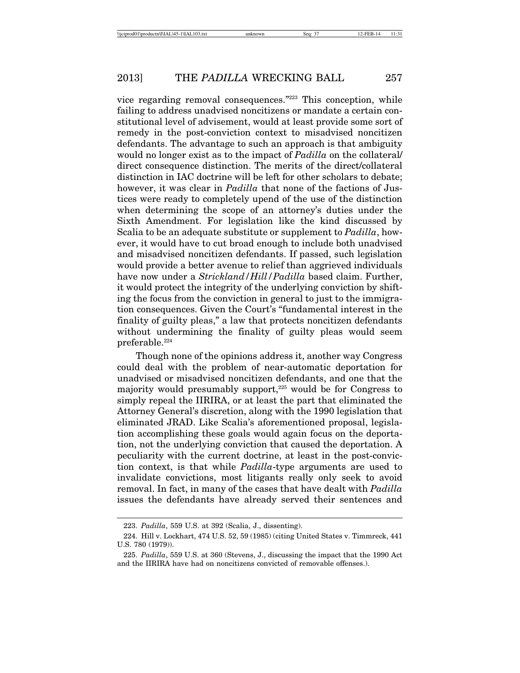vice regarding removal consequences."223 This conception, while failing to address unadvised noncitizens or mandate a certain constitutional level of advisement, would at least provide some sort of remedy in the post-conviction context to misadvised noncitizen defendants. The advantage to such an approach is that ambiguity would no longer exist as to the impact of *Padilla* on the collateral/ direct consequence distinction. The merits of the direct/collateral distinction in IAC doctrine will be left for other scholars to debate; however, it was clear in *Padilla* that none of the factions of Justices were ready to completely upend of the use of the distinction when determining the scope of an attorney's duties under the Sixth Amendment. For legislation like the kind discussed by Scalia to be an adequate substitute or supplement to *Padilla*, however, it would have to cut broad enough to include both unadvised and misadvised noncitizen defendants. If passed, such legislation would provide a better avenue to relief than aggrieved individuals have now under a *Strickland/Hill/Padilla* based claim. Further, it would protect the integrity of the underlying conviction by shifting the focus from the conviction in general to just to the immigration consequences. Given the Court's "fundamental interest in the finality of guilty pleas," a law that protects noncitizen defendants without undermining the finality of guilty pleas would seem preferable.<sup>224</sup>

Though none of the opinions address it, another way Congress could deal with the problem of near-automatic deportation for unadvised or misadvised noncitizen defendants, and one that the majority would presumably support, $225$  would be for Congress to simply repeal the IIRIRA, or at least the part that eliminated the Attorney General's discretion, along with the 1990 legislation that eliminated JRAD. Like Scalia's aforementioned proposal, legislation accomplishing these goals would again focus on the deportation, not the underlying conviction that caused the deportation. A peculiarity with the current doctrine, at least in the post-conviction context, is that while *Padilla*-type arguments are used to invalidate convictions, most litigants really only seek to avoid removal. In fact, in many of the cases that have dealt with *Padilla* issues the defendants have already served their sentences and

<sup>223.</sup> *Padilla*, 559 U.S. at 392 (Scalia, J., dissenting).

<sup>224.</sup> Hill v. Lockhart, 474 U.S. 52, 59 (1985) (citing United States v. Timmreck, 441 U.S. 780 (1979)).

<sup>225.</sup> *Padilla*, 559 U.S. at 360 (Stevens, J., discussing the impact that the 1990 Act and the IIRIRA have had on noncitizens convicted of removable offenses.).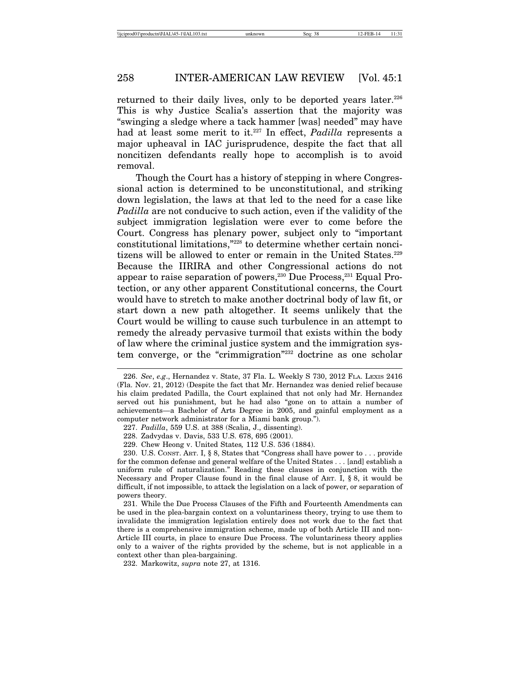returned to their daily lives, only to be deported years later. $226$ This is why Justice Scalia's assertion that the majority was "swinging a sledge where a tack hammer [was] needed" may have had at least some merit to it.<sup>227</sup> In effect, *Padilla* represents a major upheaval in IAC jurisprudence, despite the fact that all noncitizen defendants really hope to accomplish is to avoid removal.

Though the Court has a history of stepping in where Congressional action is determined to be unconstitutional, and striking down legislation, the laws at that led to the need for a case like *Padilla* are not conducive to such action, even if the validity of the subject immigration legislation were ever to come before the Court. Congress has plenary power, subject only to "important constitutional limitations,"228 to determine whether certain noncitizens will be allowed to enter or remain in the United States.229 Because the IIRIRA and other Congressional actions do not appear to raise separation of powers, $230$  Due Process, $231$  Equal Protection, or any other apparent Constitutional concerns, the Court would have to stretch to make another doctrinal body of law fit, or start down a new path altogether. It seems unlikely that the Court would be willing to cause such turbulence in an attempt to remedy the already pervasive turmoil that exists within the body of law where the criminal justice system and the immigration system converge, or the "crimmigration"232 doctrine as one scholar

<sup>226.</sup> *See*, *e.g*., Hernandez v. State, 37 Fla. L. Weekly S 730, 2012 FLA. LEXIS 2416 (Fla. Nov. 21, 2012) (Despite the fact that Mr. Hernandez was denied relief because his claim predated Padilla, the Court explained that not only had Mr. Hernandez served out his punishment, but he had also "gone on to attain a number of achievements—a Bachelor of Arts Degree in 2005, and gainful employment as a computer network administrator for a Miami bank group.").

<sup>227.</sup> *Padilla*, 559 U.S. at 388 (Scalia, J., dissenting).

<sup>228.</sup> Zadvydas v. Davis, 533 U.S. 678, 695 (2001).

<sup>229.</sup> Chew Heong v. United States*,* 112 U.S. 536 (1884).

<sup>230.</sup> U.S. CONST. ART. I, § 8, States that "Congress shall have power to . . . provide for the common defense and general welfare of the United States . . . [and] establish a uniform rule of naturalization." Reading these clauses in conjunction with the Necessary and Proper Clause found in the final clause of ART. I, § 8, it would be difficult, if not impossible, to attack the legislation on a lack of power, or separation of powers theory.

<sup>231.</sup> While the Due Process Clauses of the Fifth and Fourteenth Amendments can be used in the plea-bargain context on a voluntariness theory, trying to use them to invalidate the immigration legislation entirely does not work due to the fact that there is a comprehensive immigration scheme, made up of both Article III and non-Article III courts, in place to ensure Due Process. The voluntariness theory applies only to a waiver of the rights provided by the scheme, but is not applicable in a context other than plea-bargaining.

<sup>232.</sup> Markowitz, *supra* note 27, at 1316.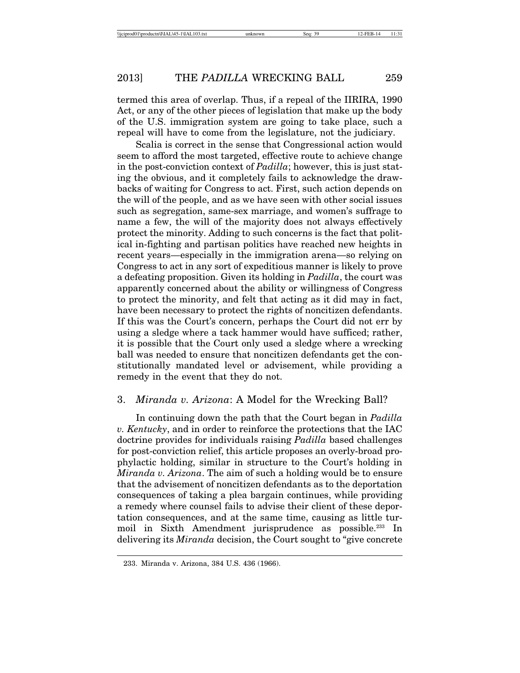termed this area of overlap. Thus, if a repeal of the IIRIRA, 1990 Act, or any of the other pieces of legislation that make up the body of the U.S. immigration system are going to take place, such a repeal will have to come from the legislature, not the judiciary.

Scalia is correct in the sense that Congressional action would seem to afford the most targeted, effective route to achieve change in the post-conviction context of *Padilla*; however, this is just stating the obvious, and it completely fails to acknowledge the drawbacks of waiting for Congress to act. First, such action depends on the will of the people, and as we have seen with other social issues such as segregation, same-sex marriage, and women's suffrage to name a few, the will of the majority does not always effectively protect the minority. Adding to such concerns is the fact that political in-fighting and partisan politics have reached new heights in recent years—especially in the immigration arena—so relying on Congress to act in any sort of expeditious manner is likely to prove a defeating proposition. Given its holding in *Padilla*, the court was apparently concerned about the ability or willingness of Congress to protect the minority, and felt that acting as it did may in fact, have been necessary to protect the rights of noncitizen defendants. If this was the Court's concern, perhaps the Court did not err by using a sledge where a tack hammer would have sufficed; rather, it is possible that the Court only used a sledge where a wrecking ball was needed to ensure that noncitizen defendants get the constitutionally mandated level or advisement, while providing a remedy in the event that they do not.

#### 3. *Miranda v. Arizona*: A Model for the Wrecking Ball?

In continuing down the path that the Court began in *Padilla v. Kentucky*, and in order to reinforce the protections that the IAC doctrine provides for individuals raising *Padilla* based challenges for post-conviction relief, this article proposes an overly-broad prophylactic holding, similar in structure to the Court's holding in *Miranda v. Arizona*. The aim of such a holding would be to ensure that the advisement of noncitizen defendants as to the deportation consequences of taking a plea bargain continues, while providing a remedy where counsel fails to advise their client of these deportation consequences, and at the same time, causing as little turmoil in Sixth Amendment jurisprudence as possible.<sup>233</sup> In delivering its *Miranda* decision, the Court sought to "give concrete

<sup>233.</sup> Miranda v. Arizona, 384 U.S. 436 (1966).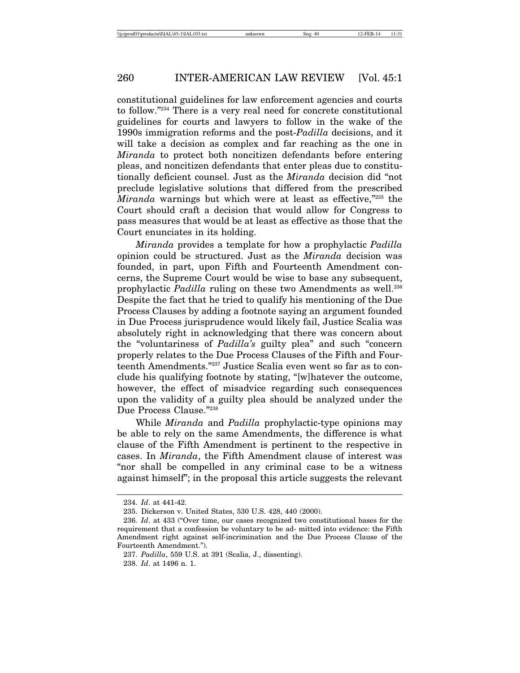constitutional guidelines for law enforcement agencies and courts to follow."234 There is a very real need for concrete constitutional guidelines for courts and lawyers to follow in the wake of the 1990s immigration reforms and the post-*Padilla* decisions, and it will take a decision as complex and far reaching as the one in *Miranda* to protect both noncitizen defendants before entering pleas, and noncitizen defendants that enter pleas due to constitutionally deficient counsel. Just as the *Miranda* decision did "not preclude legislative solutions that differed from the prescribed *Miranda* warnings but which were at least as effective,"<sup>235</sup> the Court should craft a decision that would allow for Congress to pass measures that would be at least as effective as those that the Court enunciates in its holding.

*Miranda* provides a template for how a prophylactic *Padilla* opinion could be structured. Just as the *Miranda* decision was founded, in part, upon Fifth and Fourteenth Amendment concerns, the Supreme Court would be wise to base any subsequent, prophylactic *Padilla* ruling on these two Amendments as well.<sup>236</sup> Despite the fact that he tried to qualify his mentioning of the Due Process Clauses by adding a footnote saying an argument founded in Due Process jurisprudence would likely fail, Justice Scalia was absolutely right in acknowledging that there was concern about the "voluntariness of *Padilla's* guilty plea" and such "concern properly relates to the Due Process Clauses of the Fifth and Fourteenth Amendments."237 Justice Scalia even went so far as to conclude his qualifying footnote by stating, "[w]hatever the outcome, however, the effect of misadvice regarding such consequences upon the validity of a guilty plea should be analyzed under the Due Process Clause."238

While *Miranda* and *Padilla* prophylactic-type opinions may be able to rely on the same Amendments, the difference is what clause of the Fifth Amendment is pertinent to the respective in cases. In *Miranda*, the Fifth Amendment clause of interest was "nor shall be compelled in any criminal case to be a witness against himself"; in the proposal this article suggests the relevant

<sup>234.</sup> *Id*. at 441-42.

<sup>235.</sup> Dickerson v. United States, 530 U.S. 428, 440 (2000).

<sup>236.</sup> *Id*. at 433 ("Over time, our cases recognized two constitutional bases for the requirement that a confession be voluntary to be ad- mitted into evidence: the Fifth Amendment right against self-incrimination and the Due Process Clause of the Fourteenth Amendment.").

<sup>237.</sup> *Padilla*, 559 U.S. at 391 (Scalia, J., dissenting).

<sup>238.</sup> *Id*. at 1496 n. 1.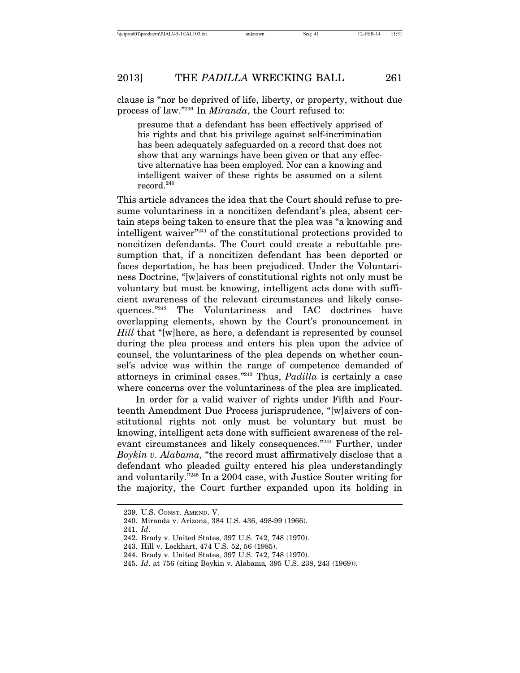clause is "nor be deprived of life, liberty, or property, without due process of law."239 In *Miranda*, the Court refused to:

presume that a defendant has been effectively apprised of his rights and that his privilege against self-incrimination has been adequately safeguarded on a record that does not show that any warnings have been given or that any effective alternative has been employed. Nor can a knowing and intelligent waiver of these rights be assumed on a silent record.<sup>240</sup>

This article advances the idea that the Court should refuse to presume voluntariness in a noncitizen defendant's plea, absent certain steps being taken to ensure that the plea was "a knowing and intelligent waiver"241 of the constitutional protections provided to noncitizen defendants. The Court could create a rebuttable presumption that, if a noncitizen defendant has been deported or faces deportation, he has been prejudiced. Under the Voluntariness Doctrine, "[w]aivers of constitutional rights not only must be voluntary but must be knowing, intelligent acts done with sufficient awareness of the relevant circumstances and likely consequences."242 The Voluntariness and IAC doctrines have overlapping elements, shown by the Court's pronouncement in *Hill* that "[w]here, as here, a defendant is represented by counsel during the plea process and enters his plea upon the advice of counsel, the voluntariness of the plea depends on whether counsel's advice was within the range of competence demanded of attorneys in criminal cases."243 Thus, *Padilla* is certainly a case where concerns over the voluntariness of the plea are implicated.

In order for a valid waiver of rights under Fifth and Fourteenth Amendment Due Process jurisprudence, "[w]aivers of constitutional rights not only must be voluntary but must be knowing, intelligent acts done with sufficient awareness of the relevant circumstances and likely consequences."244 Further, under *Boykin v. Alabama,* "the record must affirmatively disclose that a defendant who pleaded guilty entered his plea understandingly and voluntarily."245 In a 2004 case, with Justice Souter writing for the majority, the Court further expanded upon its holding in

<sup>239.</sup> U.S. CONST. AMEND. V.

<sup>240.</sup> Miranda v. Arizona, 384 U.S. 436, 498-99 (1966).

<sup>241.</sup> *Id*.

<sup>242.</sup> Brady v. United States, 397 U.S. 742, 748 (1970).

<sup>243.</sup> Hill v. Lockhart, 474 U.S. 52, 56 (1985).

<sup>244.</sup> Brady v. United States, 397 U.S. 742, 748 (1970).

<sup>245.</sup> *Id*. at 756 (citing Boykin v. Alabama*,* 395 U.S. 238, 243 (1969)).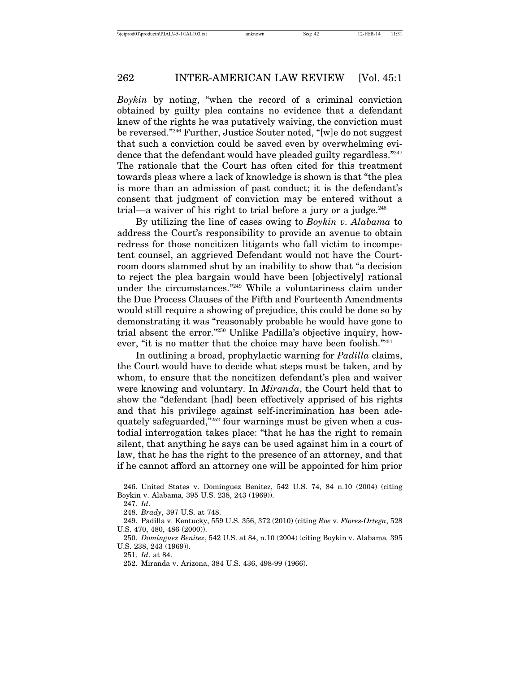*Boykin* by noting, "when the record of a criminal conviction obtained by guilty plea contains no evidence that a defendant knew of the rights he was putatively waiving, the conviction must be reversed."246 Further, Justice Souter noted, "[w]e do not suggest that such a conviction could be saved even by overwhelming evidence that the defendant would have pleaded guilty regardless."<sup>247</sup> The rationale that the Court has often cited for this treatment towards pleas where a lack of knowledge is shown is that "the plea is more than an admission of past conduct; it is the defendant's consent that judgment of conviction may be entered without a trial—a waiver of his right to trial before a jury or a judge. $248$ 

By utilizing the line of cases owing to *Boykin v. Alabama* to address the Court's responsibility to provide an avenue to obtain redress for those noncitizen litigants who fall victim to incompetent counsel, an aggrieved Defendant would not have the Courtroom doors slammed shut by an inability to show that "a decision to reject the plea bargain would have been [objectively] rational under the circumstances."249 While a voluntariness claim under the Due Process Clauses of the Fifth and Fourteenth Amendments would still require a showing of prejudice, this could be done so by demonstrating it was "reasonably probable he would have gone to trial absent the error."250 Unlike Padilla's objective inquiry, however, "it is no matter that the choice may have been foolish."<sup>251</sup>

In outlining a broad, prophylactic warning for *Padilla* claims, the Court would have to decide what steps must be taken, and by whom, to ensure that the noncitizen defendant's plea and waiver were knowing and voluntary. In *Miranda*, the Court held that to show the "defendant [had] been effectively apprised of his rights and that his privilege against self-incrimination has been adequately safeguarded,"252 four warnings must be given when a custodial interrogation takes place: "that he has the right to remain silent, that anything he says can be used against him in a court of law, that he has the right to the presence of an attorney, and that if he cannot afford an attorney one will be appointed for him prior

251. *Id*. at 84.

<sup>246.</sup> United States v. Dominguez Benitez, 542 U.S. 74, 84 n.10 (2004) (citing Boykin v. Alabama*,* 395 U.S. 238, 243 (1969)).

<sup>247.</sup> *Id*.

<sup>248.</sup> *Brady*, 397 U.S. at 748.

<sup>249.</sup> Padilla v. Kentucky, 559 U.S. 356, 372 (2010) (citing *Roe* v. *Flores-Ortega*, 528 U.S. 470, 480, 486 (2000)).

<sup>250.</sup> *Dominguez Benitez*, 542 U.S. at 84, n.10 (2004) (citing Boykin v. Alabama*,* 395 U.S. 238, 243 (1969)).

<sup>252.</sup> Miranda v. Arizona, 384 U.S. 436, 498-99 (1966).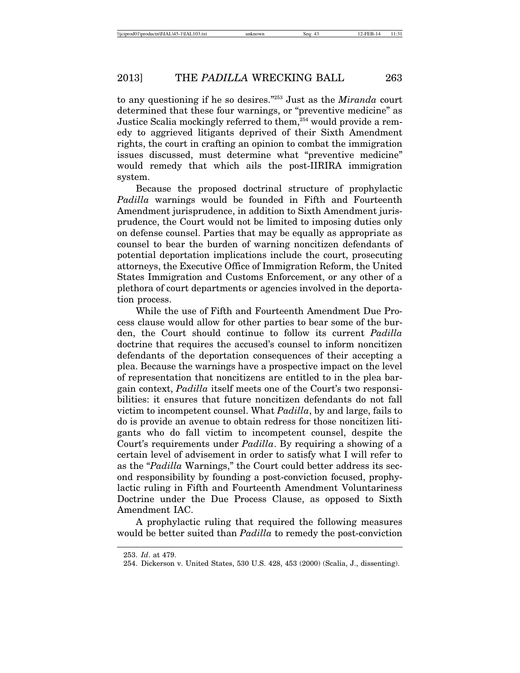to any questioning if he so desires."253 Just as the *Miranda* court determined that these four warnings, or "preventive medicine" as Justice Scalia mockingly referred to them,<sup>254</sup> would provide a remedy to aggrieved litigants deprived of their Sixth Amendment rights, the court in crafting an opinion to combat the immigration issues discussed, must determine what "preventive medicine" would remedy that which ails the post-IIRIRA immigration system.

Because the proposed doctrinal structure of prophylactic *Padilla* warnings would be founded in Fifth and Fourteenth Amendment jurisprudence, in addition to Sixth Amendment jurisprudence, the Court would not be limited to imposing duties only on defense counsel. Parties that may be equally as appropriate as counsel to bear the burden of warning noncitizen defendants of potential deportation implications include the court, prosecuting attorneys, the Executive Office of Immigration Reform, the United States Immigration and Customs Enforcement, or any other of a plethora of court departments or agencies involved in the deportation process.

While the use of Fifth and Fourteenth Amendment Due Process clause would allow for other parties to bear some of the burden, the Court should continue to follow its current *Padilla* doctrine that requires the accused's counsel to inform noncitizen defendants of the deportation consequences of their accepting a plea. Because the warnings have a prospective impact on the level of representation that noncitizens are entitled to in the plea bargain context, *Padilla* itself meets one of the Court's two responsibilities: it ensures that future noncitizen defendants do not fall victim to incompetent counsel. What *Padilla*, by and large, fails to do is provide an avenue to obtain redress for those noncitizen litigants who do fall victim to incompetent counsel, despite the Court's requirements under *Padilla*. By requiring a showing of a certain level of advisement in order to satisfy what I will refer to as the "*Padilla* Warnings," the Court could better address its second responsibility by founding a post-conviction focused, prophylactic ruling in Fifth and Fourteenth Amendment Voluntariness Doctrine under the Due Process Clause, as opposed to Sixth Amendment IAC.

A prophylactic ruling that required the following measures would be better suited than *Padilla* to remedy the post-conviction

<sup>253.</sup> *Id*. at 479.

<sup>254.</sup> Dickerson v. United States, 530 U.S. 428, 453 (2000) (Scalia, J., dissenting).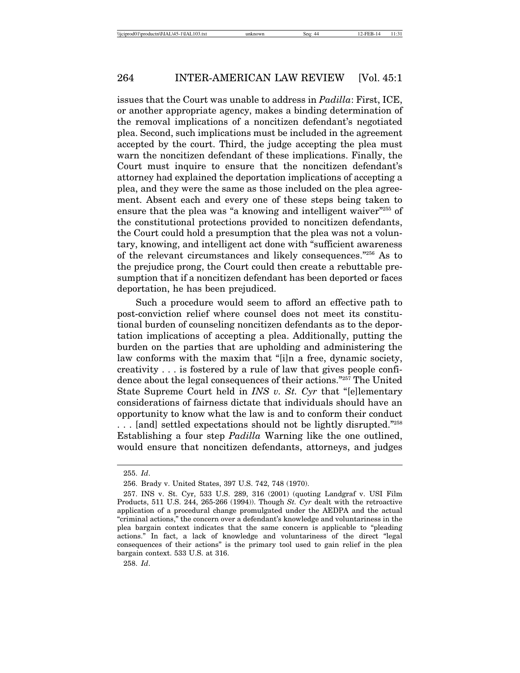issues that the Court was unable to address in *Padilla*: First, ICE, or another appropriate agency, makes a binding determination of the removal implications of a noncitizen defendant's negotiated plea. Second, such implications must be included in the agreement accepted by the court. Third, the judge accepting the plea must warn the noncitizen defendant of these implications. Finally, the Court must inquire to ensure that the noncitizen defendant's attorney had explained the deportation implications of accepting a plea, and they were the same as those included on the plea agreement. Absent each and every one of these steps being taken to ensure that the plea was "a knowing and intelligent waiver"<sup>255</sup> of the constitutional protections provided to noncitizen defendants, the Court could hold a presumption that the plea was not a voluntary, knowing, and intelligent act done with "sufficient awareness of the relevant circumstances and likely consequences."256 As to the prejudice prong, the Court could then create a rebuttable presumption that if a noncitizen defendant has been deported or faces deportation, he has been prejudiced.

Such a procedure would seem to afford an effective path to post-conviction relief where counsel does not meet its constitutional burden of counseling noncitizen defendants as to the deportation implications of accepting a plea. Additionally, putting the burden on the parties that are upholding and administering the law conforms with the maxim that "[i]n a free, dynamic society, creativity . . . is fostered by a rule of law that gives people confidence about the legal consequences of their actions."257 The United State Supreme Court held in *INS v. St. Cyr* that "[e]lementary considerations of fairness dictate that individuals should have an opportunity to know what the law is and to conform their conduct ... [and] settled expectations should not be lightly disrupted."<sup>258</sup> Establishing a four step *Padilla* Warning like the one outlined, would ensure that noncitizen defendants, attorneys, and judges

258. *Id*.

<sup>255.</sup> *Id*.

<sup>256.</sup> Brady v. United States, 397 U.S. 742, 748 (1970).

<sup>257.</sup> INS v. St. Cyr, 533 U.S. 289, 316 (2001) (quoting Landgraf v. USI Film Products, 511 U.S. 244, 265-266 (1994)). Though *St. Cyr* dealt with the retroactive application of a procedural change promulgated under the AEDPA and the actual "criminal actions," the concern over a defendant's knowledge and voluntariness in the plea bargain context indicates that the same concern is applicable to "pleading actions." In fact, a lack of knowledge and voluntariness of the direct "legal consequences of their actions" is the primary tool used to gain relief in the plea bargain context. 533 U.S. at 316.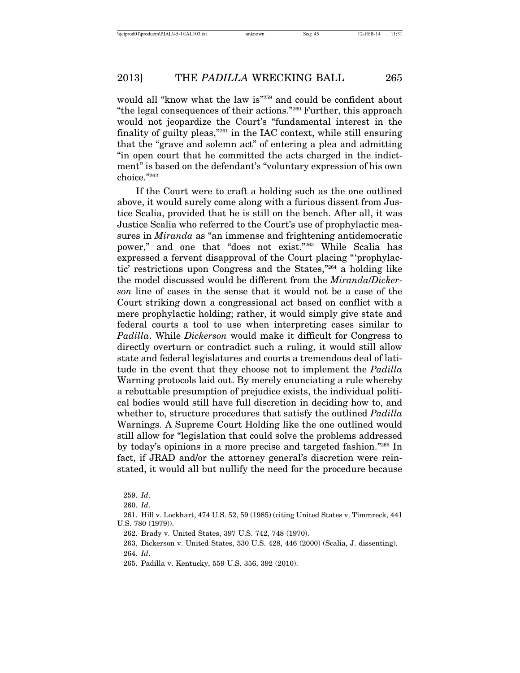would all "know what the law is"259 and could be confident about "the legal consequences of their actions."260 Further, this approach would not jeopardize the Court's "fundamental interest in the finality of guilty pleas,"261 in the IAC context, while still ensuring that the "grave and solemn act" of entering a plea and admitting "in open court that he committed the acts charged in the indictment" is based on the defendant's "voluntary expression of his own choice."262

If the Court were to craft a holding such as the one outlined above, it would surely come along with a furious dissent from Justice Scalia, provided that he is still on the bench. After all, it was Justice Scalia who referred to the Court's use of prophylactic measures in *Miranda* as "an immense and frightening antidemocratic power," and one that "does not exist."263 While Scalia has expressed a fervent disapproval of the Court placing "'prophylactic' restrictions upon Congress and the States,"264 a holding like the model discussed would be different from the *Miranda*/*Dickerson* line of cases in the sense that it would not be a case of the Court striking down a congressional act based on conflict with a mere prophylactic holding; rather, it would simply give state and federal courts a tool to use when interpreting cases similar to *Padilla*. While *Dickerson* would make it difficult for Congress to directly overturn or contradict such a ruling, it would still allow state and federal legislatures and courts a tremendous deal of latitude in the event that they choose not to implement the *Padilla* Warning protocols laid out. By merely enunciating a rule whereby a rebuttable presumption of prejudice exists, the individual political bodies would still have full discretion in deciding how to, and whether to, structure procedures that satisfy the outlined *Padilla* Warnings. A Supreme Court Holding like the one outlined would still allow for "legislation that could solve the problems addressed by today's opinions in a more precise and targeted fashion."265 In fact, if JRAD and/or the attorney general's discretion were reinstated, it would all but nullify the need for the procedure because

<sup>259.</sup> *Id*.

<sup>260.</sup> *Id*.

<sup>261.</sup> Hill v. Lockhart, 474 U.S. 52, 59 (1985) (citing United States v. Timmreck, 441 U.S. 780 (1979)).

<sup>262.</sup> Brady v. United States, 397 U.S. 742, 748 (1970).

<sup>263.</sup> Dickerson v. United States, 530 U.S. 428, 446 (2000) (Scalia, J. dissenting). 264. *Id*.

<sup>265.</sup> Padilla v. Kentucky, 559 U.S. 356, 392 (2010).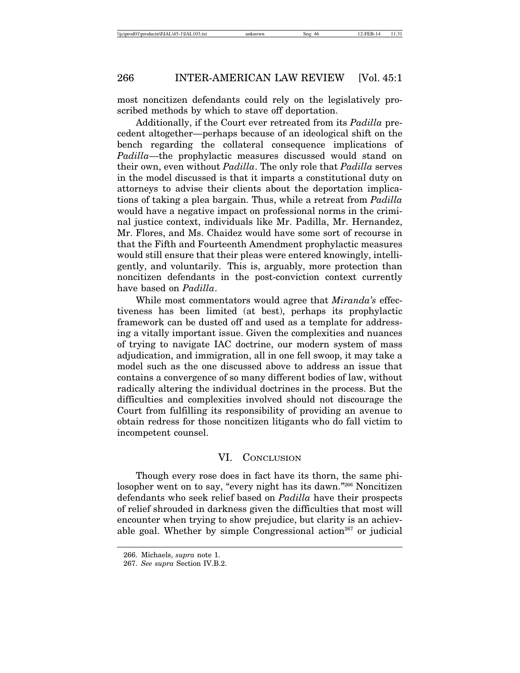most noncitizen defendants could rely on the legislatively proscribed methods by which to stave off deportation.

Additionally, if the Court ever retreated from its *Padilla* precedent altogether—perhaps because of an ideological shift on the bench regarding the collateral consequence implications of *Padilla*—the prophylactic measures discussed would stand on their own, even without *Padilla*. The only role that *Padilla* serves in the model discussed is that it imparts a constitutional duty on attorneys to advise their clients about the deportation implications of taking a plea bargain. Thus, while a retreat from *Padilla* would have a negative impact on professional norms in the criminal justice context, individuals like Mr. Padilla, Mr. Hernandez, Mr. Flores, and Ms. Chaidez would have some sort of recourse in that the Fifth and Fourteenth Amendment prophylactic measures would still ensure that their pleas were entered knowingly, intelligently, and voluntarily. This is, arguably, more protection than noncitizen defendants in the post-conviction context currently have based on *Padilla*.

While most commentators would agree that *Miranda's* effectiveness has been limited (at best), perhaps its prophylactic framework can be dusted off and used as a template for addressing a vitally important issue. Given the complexities and nuances of trying to navigate IAC doctrine, our modern system of mass adjudication, and immigration, all in one fell swoop, it may take a model such as the one discussed above to address an issue that contains a convergence of so many different bodies of law, without radically altering the individual doctrines in the process. But the difficulties and complexities involved should not discourage the Court from fulfilling its responsibility of providing an avenue to obtain redress for those noncitizen litigants who do fall victim to incompetent counsel.

## VI. CONCLUSION

Though every rose does in fact have its thorn, the same philosopher went on to say, "every night has its dawn."266 Noncitizen defendants who seek relief based on *Padilla* have their prospects of relief shrouded in darkness given the difficulties that most will encounter when trying to show prejudice, but clarity is an achievable goal. Whether by simple Congressional action<sup>267</sup> or judicial

<sup>266.</sup> Michaels, *supra* note 1.

<sup>267.</sup> *See supra* Section IV.B.2.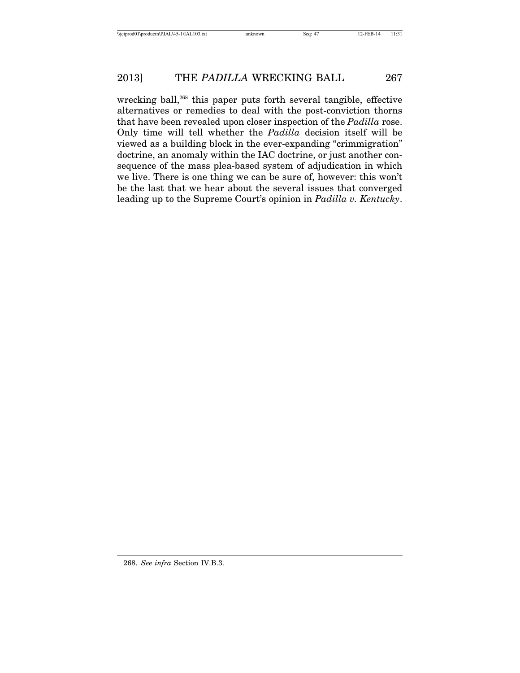wrecking ball, $268$  this paper puts forth several tangible, effective alternatives or remedies to deal with the post-conviction thorns that have been revealed upon closer inspection of the *Padilla* rose. Only time will tell whether the *Padilla* decision itself will be viewed as a building block in the ever-expanding "crimmigration" doctrine, an anomaly within the IAC doctrine, or just another consequence of the mass plea-based system of adjudication in which we live. There is one thing we can be sure of, however: this won't be the last that we hear about the several issues that converged leading up to the Supreme Court's opinion in *Padilla v. Kentucky*.

268. *See infra* Section IV.B.3.